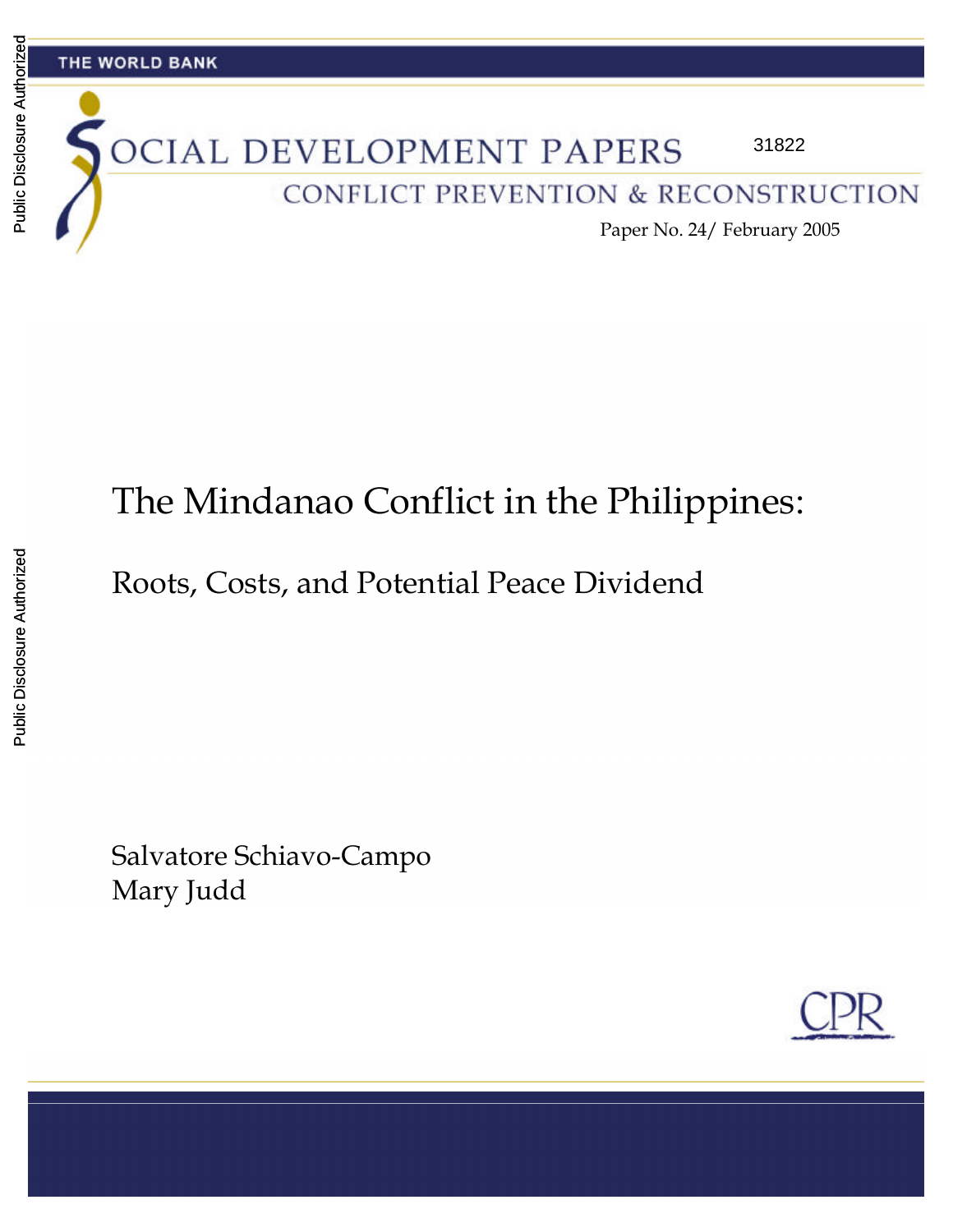#### THE WORLD BANK

#### OCIAL DEVELOPMENT PAPERS 31822

CONFLICT PREVENTION & RECONSTRUCTION

Paper No. 24/ February 2005

# The Mindanao Conflict in the Philippines:

Roots, Costs, and Potential Peace Dividend

Salvatore Schiavo-Campo Mary Judd

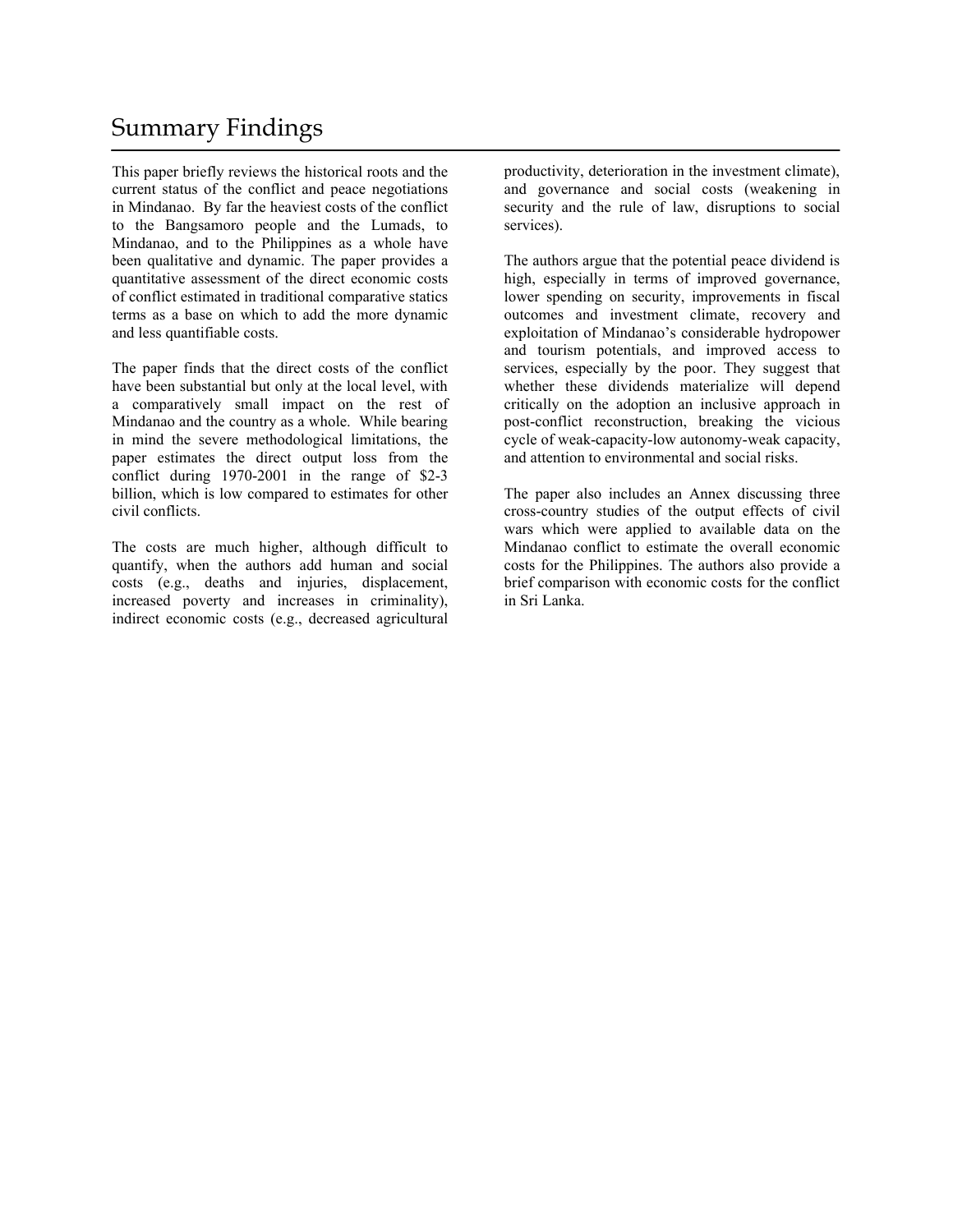## Summary Findings

This paper briefly reviews the historical roots and the current status of the conflict and peace negotiations in Mindanao. By far the heaviest costs of the conflict to the Bangsamoro people and the Lumads, to Mindanao, and to the Philippines as a whole have been qualitative and dynamic. The paper provides a quantitative assessment of the direct economic costs of conflict estimated in traditional comparative statics terms as a base on which to add the more dynamic and less quantifiable costs.

The paper finds that the direct costs of the conflict have been substantial but only at the local level, with a comparatively small impact on the rest of Mindanao and the country as a whole. While bearing in mind the severe methodological limitations, the paper estimates the direct output loss from the conflict during 1970-2001 in the range of \$2-3 billion, which is low compared to estimates for other civil conflicts.

The costs are much higher, although difficult to quantify, when the authors add human and social costs (e.g., deaths and injuries, displacement, increased poverty and increases in criminality), indirect economic costs (e.g., decreased agricultural

productivity, deterioration in the investment climate), and governance and social costs (weakening in security and the rule of law, disruptions to social services).

The authors argue that the potential peace dividend is high, especially in terms of improved governance, lower spending on security, improvements in fiscal outcomes and investment climate, recovery and exploitation of Mindanao's considerable hydropower and tourism potentials, and improved access to services, especially by the poor. They suggest that whether these dividends materialize will depend critically on the adoption an inclusive approach in post-conflict reconstruction, breaking the vicious cycle of weak-capacity-low autonomy-weak capacity, and attention to environmental and social risks.

The paper also includes an Annex discussing three cross-country studies of the output effects of civil wars which were applied to available data on the Mindanao conflict to estimate the overall economic costs for the Philippines. The authors also provide a brief comparison with economic costs for the conflict in Sri Lanka.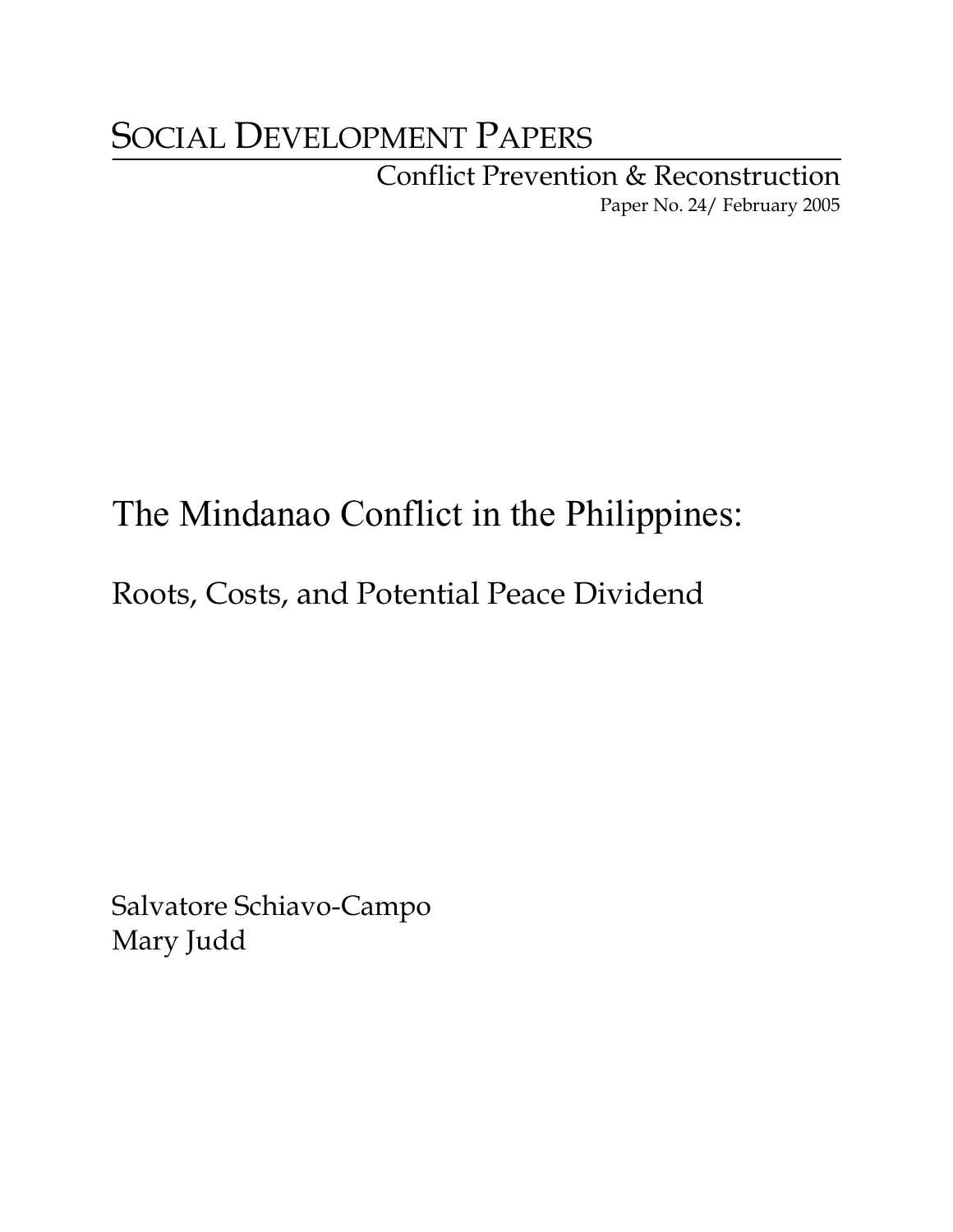# SOCIAL DEVELOPMENT PAPERS

Conflict Prevention & Reconstruction Paper No. 24/ February 2005

# The Mindanao Conflict in the Philippines:

## Roots, Costs, and Potential Peace Dividend

Salvatore Schiavo-Campo Mary Judd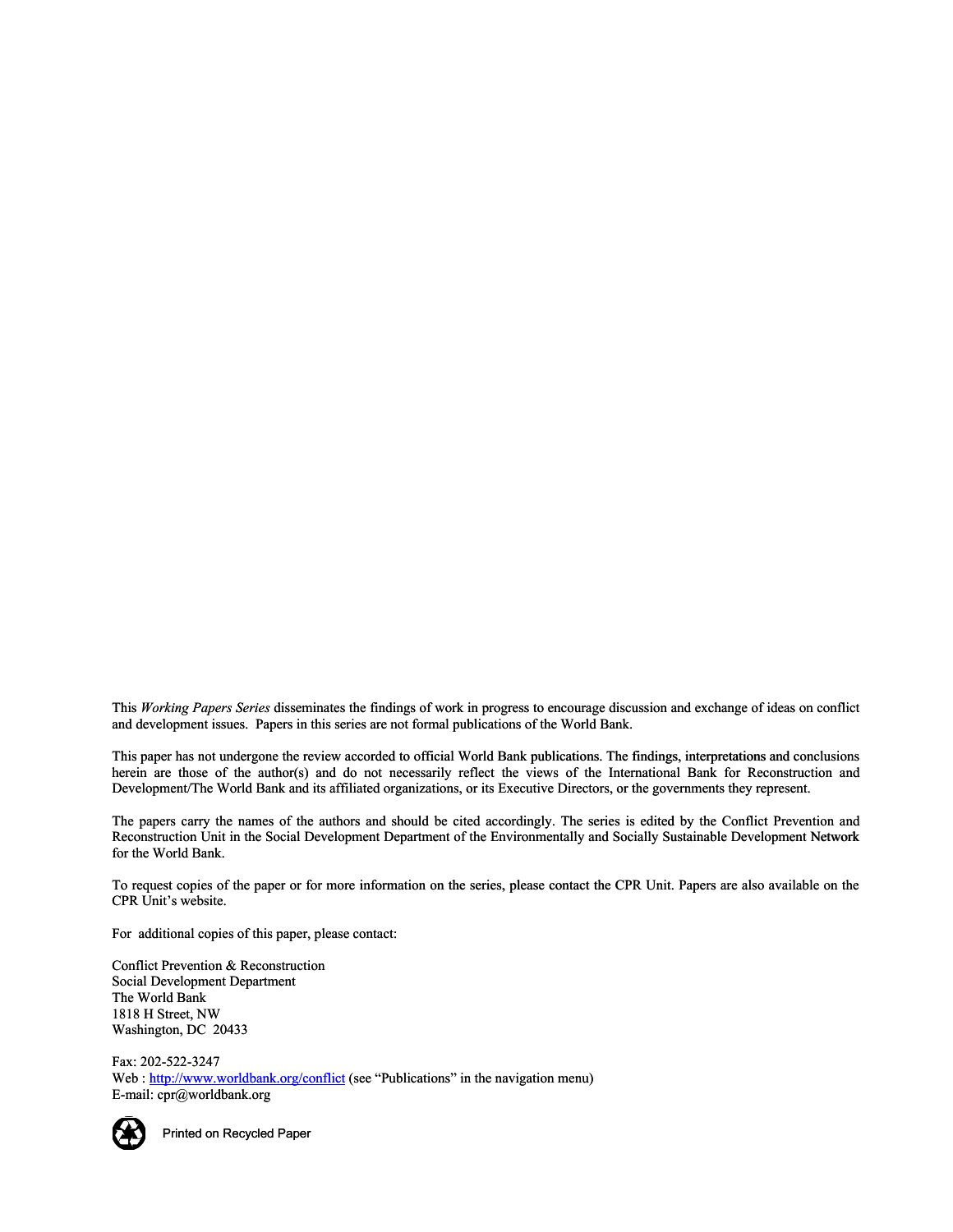This *Working Papers Series* disseminates the findings of work in progress to encourage discussion and exchange of ideas on conflict and development issues. Papers in this series are not formal publications of the World Bank.

This paper has not undergone the review accorded to official World Bank publications. The findings, interpretations and conclusions herein are those of the author(s) and do not necessarily reflect the views of the International Bank for Reconstruction and Development/The World Bank and its affiliated organizations, or its Executive Directors, or the governments they represent. ies disseminates the findings of work in progress to encourage discussion and exchange of ideas or Papers in this series are not formal publications of the World Bank.<br>
sone the review accorded to official World Bank publi

The papers carry the names of the authors and should be cited accordingly. The series is edited by the Conflict Prevention and Reconstruction Unit in the Social Development Department of the Environmentally and Socially Sustainable Development Network for the World Bank.

To request copies of the paper or for more information on the series, please contact the CPR Unit. Papers are also available on the CPR Unit's website.

For additional copies of this paper, please contact:

Conflict Prevention & Reconstruction Social Development Department The World Bank 1818 H Street, NW Washington, DC 20433

Fax: 202-522-3247 Web : http://www.worldbank.org/conflict (see "Publications" in the navigation menu) E-mail: cpr@worldbank.org



Printed on Recycled Paper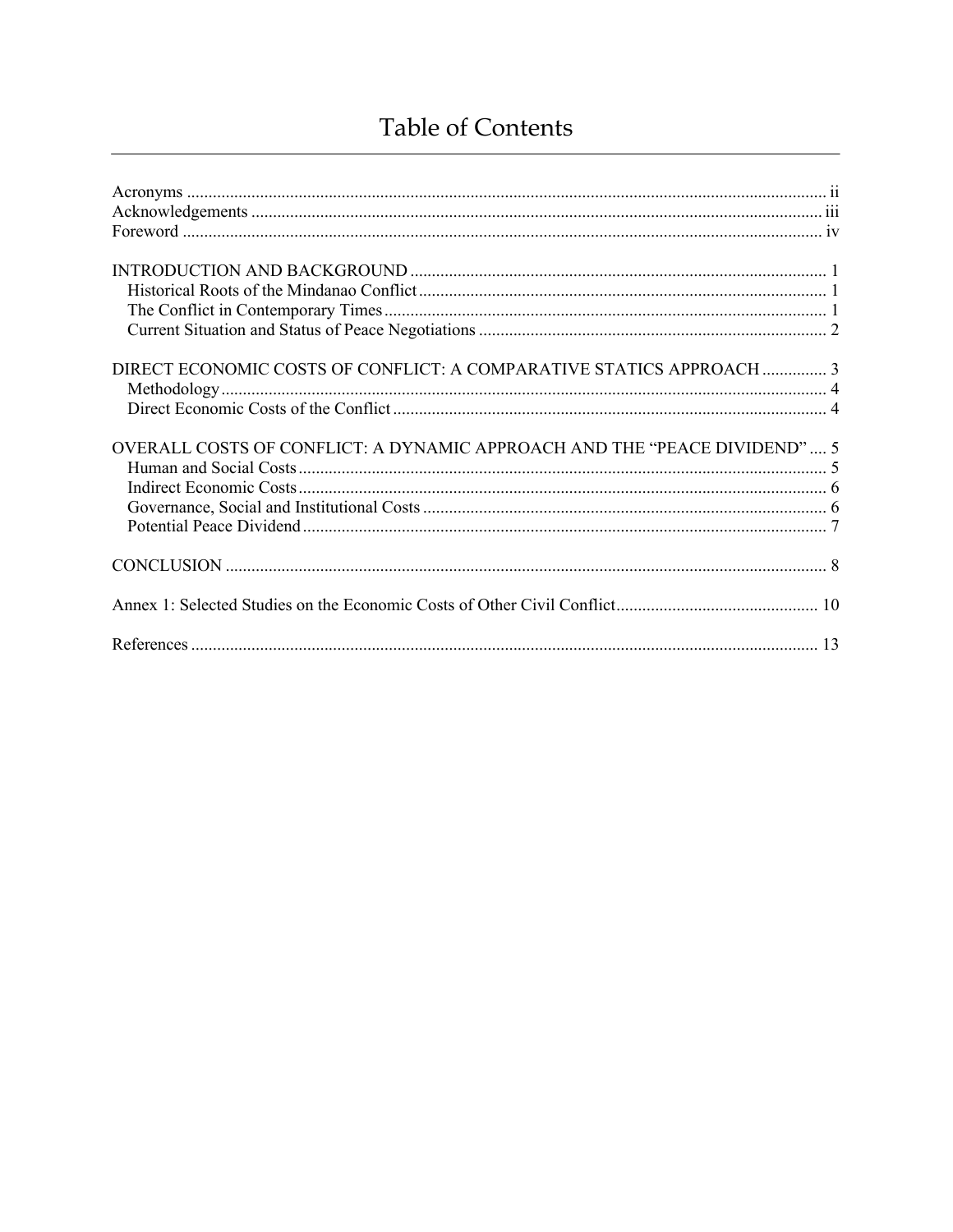## Table of Contents

| DIRECT ECONOMIC COSTS OF CONFLICT: A COMPARATIVE STATICS APPROACH  3     |  |
|--------------------------------------------------------------------------|--|
| OVERALL COSTS OF CONFLICT: A DYNAMIC APPROACH AND THE "PEACE DIVIDEND" 5 |  |
|                                                                          |  |
|                                                                          |  |
|                                                                          |  |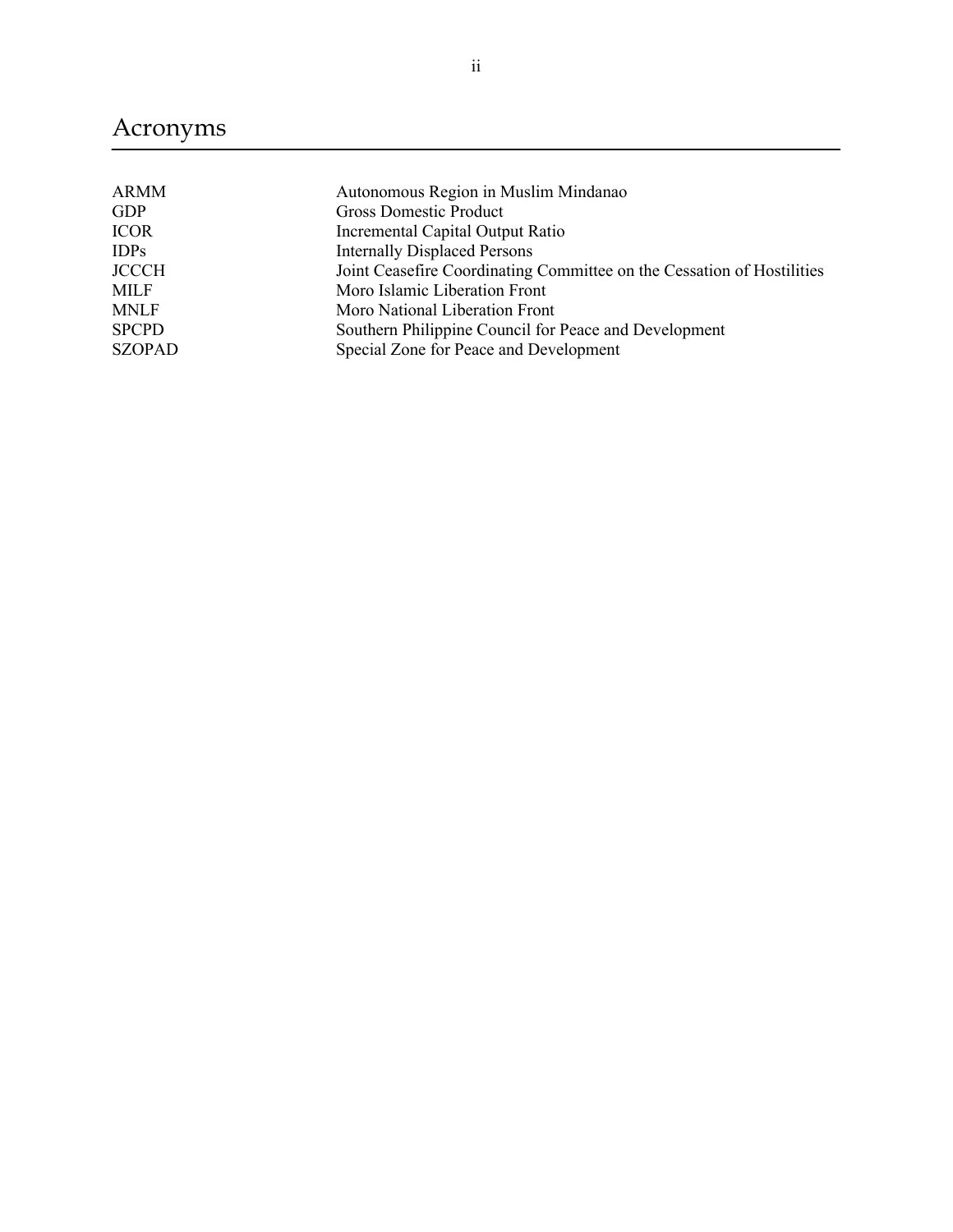## Acronyms

| <b>ARMM</b>   | Autonomous Region in Muslim Mindanao                                   |
|---------------|------------------------------------------------------------------------|
| GDP           | <b>Gross Domestic Product</b>                                          |
| <b>ICOR</b>   | Incremental Capital Output Ratio                                       |
| <b>IDPs</b>   | <b>Internally Displaced Persons</b>                                    |
| <b>JCCCH</b>  | Joint Ceasefire Coordinating Committee on the Cessation of Hostilities |
| MILF          | Moro Islamic Liberation Front                                          |
| <b>MNLF</b>   | Moro National Liberation Front                                         |
| <b>SPCPD</b>  | Southern Philippine Council for Peace and Development                  |
| <b>SZOPAD</b> | Special Zone for Peace and Development                                 |
|               |                                                                        |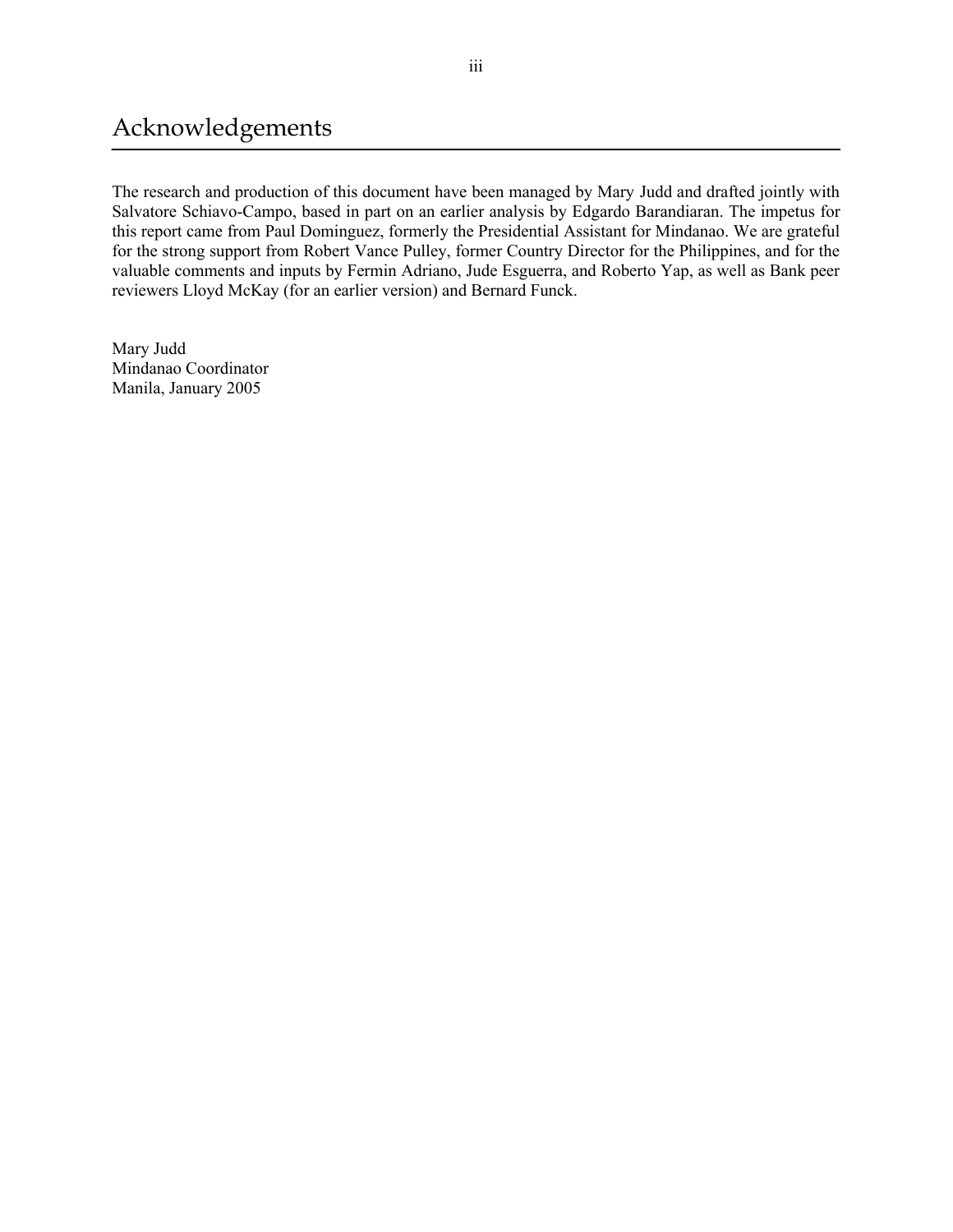### Acknowledgements

The research and production of this document have been managed by Mary Judd and drafted jointly with Salvatore Schiavo-Campo, based in part on an earlier analysis by Edgardo Barandiaran. The impetus for this report came from Paul Dominguez, formerly the Presidential Assistant for Mindanao. We are grateful for the strong support from Robert Vance Pulley, former Country Director for the Philippines, and for the valuable comments and inputs by Fermin Adriano, Jude Esguerra, and Roberto Yap, as well as Bank peer reviewers Lloyd McKay (for an earlier version) and Bernard Funck.

Mary Judd Mindanao Coordinator Manila, January 2005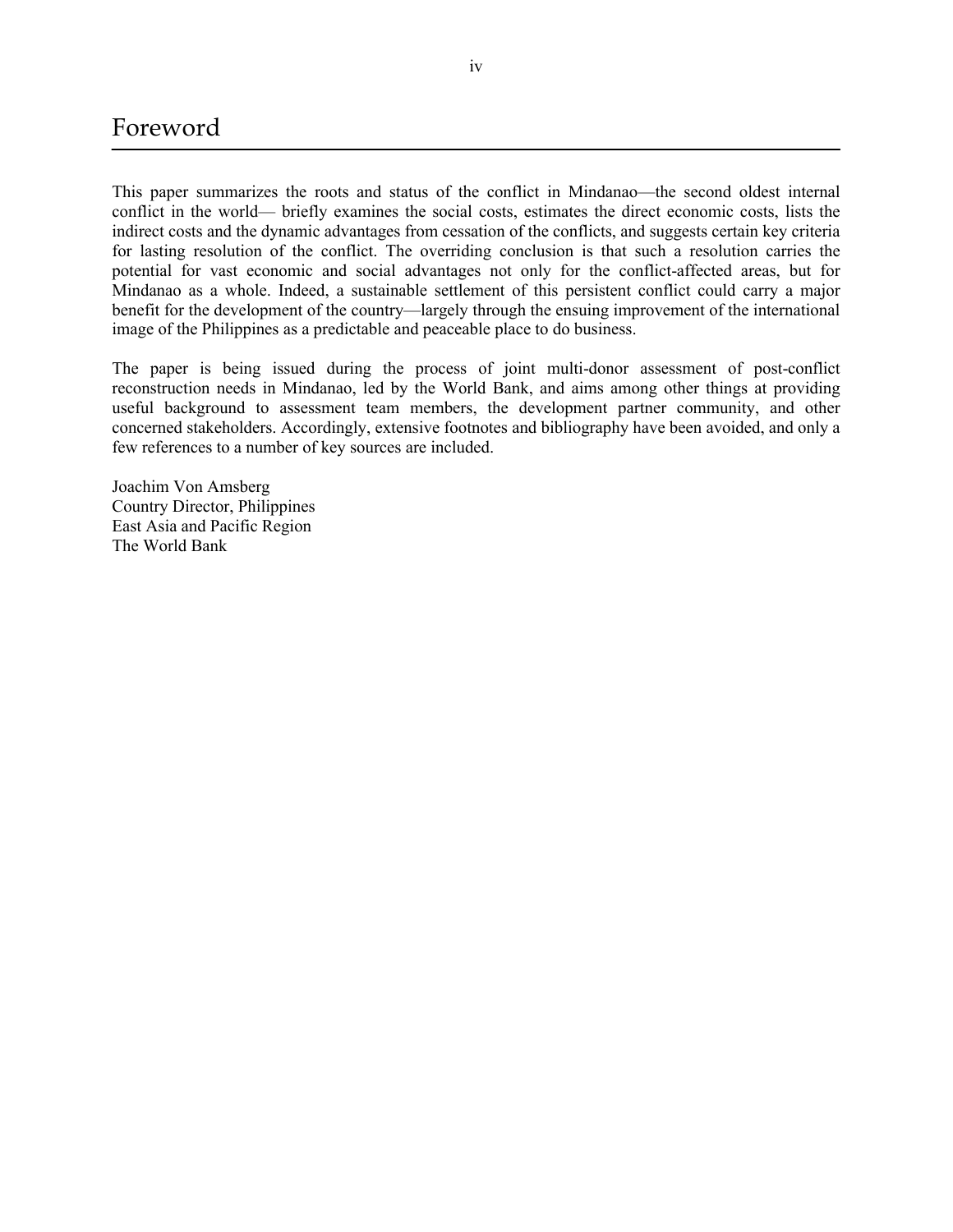### Foreword

This paper summarizes the roots and status of the conflict in Mindanao—the second oldest internal conflict in the world— briefly examines the social costs, estimates the direct economic costs, lists the indirect costs and the dynamic advantages from cessation of the conflicts, and suggests certain key criteria for lasting resolution of the conflict. The overriding conclusion is that such a resolution carries the potential for vast economic and social advantages not only for the conflict-affected areas, but for Mindanao as a whole. Indeed, a sustainable settlement of this persistent conflict could carry a major benefit for the development of the country—largely through the ensuing improvement of the international image of the Philippines as a predictable and peaceable place to do business.

The paper is being issued during the process of joint multi-donor assessment of post-conflict reconstruction needs in Mindanao, led by the World Bank, and aims among other things at providing useful background to assessment team members, the development partner community, and other concerned stakeholders. Accordingly, extensive footnotes and bibliography have been avoided, and only a few references to a number of key sources are included.

Joachim Von Amsberg Country Director, Philippines East Asia and Pacific Region The World Bank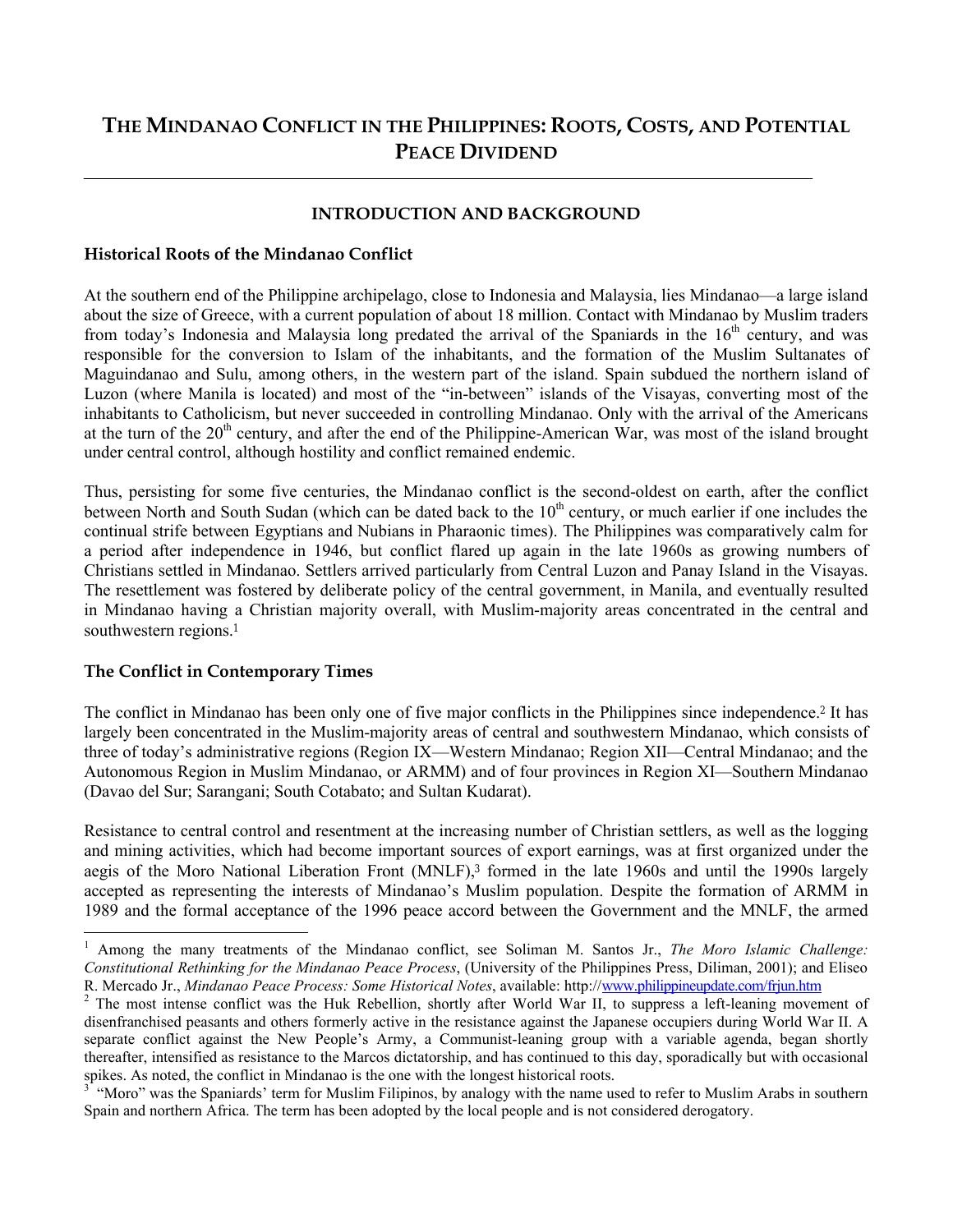### **THE MINDANAO CONFLICT IN THE PHILIPPINES: ROOTS, COSTS, AND POTENTIAL PEACE DIVIDEND**

#### **INTRODUCTION AND BACKGROUND**

#### **Historical Roots of the Mindanao Conflict**

At the southern end of the Philippine archipelago, close to Indonesia and Malaysia, lies Mindanao—a large island about the size of Greece, with a current population of about 18 million. Contact with Mindanao by Muslim traders from today's Indonesia and Malaysia long predated the arrival of the Spaniards in the  $16<sup>th</sup>$  century, and was responsible for the conversion to Islam of the inhabitants, and the formation of the Muslim Sultanates of Maguindanao and Sulu, among others, in the western part of the island. Spain subdued the northern island of Luzon (where Manila is located) and most of the "in-between" islands of the Visayas, converting most of the inhabitants to Catholicism, but never succeeded in controlling Mindanao. Only with the arrival of the Americans at the turn of the  $20<sup>th</sup>$  century, and after the end of the Philippine-American War, was most of the island brought under central control, although hostility and conflict remained endemic.

Thus, persisting for some five centuries, the Mindanao conflict is the second-oldest on earth, after the conflict between North and South Sudan (which can be dated back to the 10<sup>th</sup> century, or much earlier if one includes the continual strife between Egyptians and Nubians in Pharaonic times). The Philippines was comparatively calm for a period after independence in 1946, but conflict flared up again in the late 1960s as growing numbers of Christians settled in Mindanao. Settlers arrived particularly from Central Luzon and Panay Island in the Visayas. The resettlement was fostered by deliberate policy of the central government, in Manila, and eventually resulted in Mindanao having a Christian majority overall, with Muslim-majority areas concentrated in the central and southwestern regions. 1

#### **The Conflict in Contemporary Times**

l

The conflict in Mindanao has been only one of five major conflicts in the Philippines since independence.<sup>2</sup> It has largely been concentrated in the Muslim-majority areas of central and southwestern Mindanao, which consists of three of today's administrative regions (Region IX—Western Mindanao; Region XII—Central Mindanao; and the Autonomous Region in Muslim Mindanao, or ARMM) and of four provinces in Region XI—Southern Mindanao (Davao del Sur; Sarangani; South Cotabato; and Sultan Kudarat).

Resistance to central control and resentment at the increasing number of Christian settlers, as well as the logging and mining activities, which had become important sources of export earnings, was at first organized under the aegis of the Moro National Liberation Front (MNLF),<sup>3</sup> formed in the late 1960s and until the 1990s largely accepted as representing the interests of Mindanao's Muslim population. Despite the formation of ARMM in 1989 and the formal acceptance of the 1996 peace accord between the Government and the MNLF, the armed

<sup>&</sup>lt;sup>1</sup> Among the many treatments of the Mindanao conflict, see Soliman M. Santos Jr., *The Moro Islamic Challenge*: *Constitutional Rethinking for the Mindanao Peace Process*, (University of the Philippines Press, Diliman, 2001); and Eliseo R. Mercado Jr., *Mindanao Peace Process: Some Historical Notes*, available: http://www.philippineupdate.com/frjun.htm

<sup>&</sup>lt;sup>2</sup> The most intense conflict was the Huk Rebellion, shortly after World War II, to suppress a left-leaning movement of disenfranchised peasants and others formerly active in the resistance against the Japanese occupiers during World War II. A separate conflict against the New People's Army, a Communist-leaning group with a variable agenda, began shortly thereafter, intensified as resistance to the Marcos dictatorship, and has continued to this day, sporadically but with occasional spikes. As noted, the conflict in Mindanao is the one with the longest historical roots.<br><sup>3</sup> "Mare" was the Spaniards' term for Muslim Eilinines, by analogy with the name w

 <sup>&</sup>quot;Moro" was the Spaniards' term for Muslim Filipinos, by analogy with the name used to refer to Muslim Arabs in southern Spain and northern Africa. The term has been adopted by the local people and is not considered derogatory.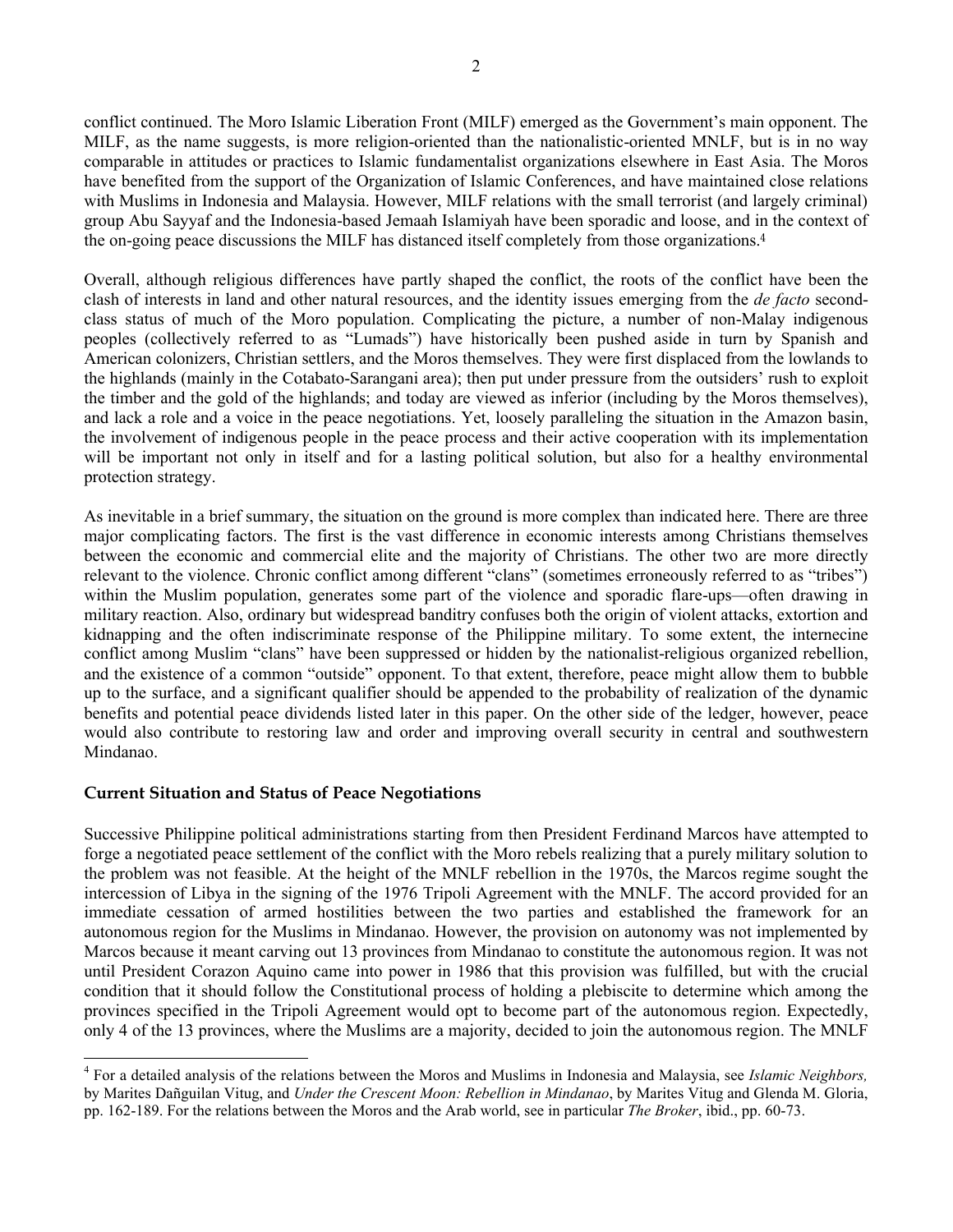conflict continued. The Moro Islamic Liberation Front (MILF) emerged as the Government's main opponent. The MILF, as the name suggests, is more religion-oriented than the nationalistic-oriented MNLF, but is in no way comparable in attitudes or practices to Islamic fundamentalist organizations elsewhere in East Asia. The Moros have benefited from the support of the Organization of Islamic Conferences, and have maintained close relations with Muslims in Indonesia and Malaysia. However, MILF relations with the small terrorist (and largely criminal) group Abu Sayyaf and the Indonesia-based Jemaah Islamiyah have been sporadic and loose, and in the context of the on-going peace discussions the MILF has distanced itself completely from those organizations.<sup>4</sup>

Overall, although religious differences have partly shaped the conflict, the roots of the conflict have been the clash of interests in land and other natural resources, and the identity issues emerging from the *de facto* secondclass status of much of the Moro population. Complicating the picture, a number of non-Malay indigenous peoples (collectively referred to as "Lumads") have historically been pushed aside in turn by Spanish and American colonizers, Christian settlers, and the Moros themselves. They were first displaced from the lowlands to the highlands (mainly in the Cotabato-Sarangani area); then put under pressure from the outsiders' rush to exploit the timber and the gold of the highlands; and today are viewed as inferior (including by the Moros themselves), and lack a role and a voice in the peace negotiations. Yet, loosely paralleling the situation in the Amazon basin, the involvement of indigenous people in the peace process and their active cooperation with its implementation will be important not only in itself and for a lasting political solution, but also for a healthy environmental protection strategy.

As inevitable in a brief summary, the situation on the ground is more complex than indicated here. There are three major complicating factors. The first is the vast difference in economic interests among Christians themselves between the economic and commercial elite and the majority of Christians. The other two are more directly relevant to the violence. Chronic conflict among different "clans" (sometimes erroneously referred to as "tribes") within the Muslim population, generates some part of the violence and sporadic flare-ups—often drawing in military reaction. Also, ordinary but widespread banditry confuses both the origin of violent attacks, extortion and kidnapping and the often indiscriminate response of the Philippine military. To some extent, the internecine conflict among Muslim "clans" have been suppressed or hidden by the nationalist-religious organized rebellion, and the existence of a common "outside" opponent. To that extent, therefore, peace might allow them to bubble up to the surface, and a significant qualifier should be appended to the probability of realization of the dynamic benefits and potential peace dividends listed later in this paper. On the other side of the ledger, however, peace would also contribute to restoring law and order and improving overall security in central and southwestern Mindanao.

#### **Current Situation and Status of Peace Negotiations**

l

Successive Philippine political administrations starting from then President Ferdinand Marcos have attempted to forge a negotiated peace settlement of the conflict with the Moro rebels realizing that a purely military solution to the problem was not feasible. At the height of the MNLF rebellion in the 1970s, the Marcos regime sought the intercession of Libya in the signing of the 1976 Tripoli Agreement with the MNLF. The accord provided for an immediate cessation of armed hostilities between the two parties and established the framework for an autonomous region for the Muslims in Mindanao. However, the provision on autonomy was not implemented by Marcos because it meant carving out 13 provinces from Mindanao to constitute the autonomous region. It was not until President Corazon Aquino came into power in 1986 that this provision was fulfilled, but with the crucial condition that it should follow the Constitutional process of holding a plebiscite to determine which among the provinces specified in the Tripoli Agreement would opt to become part of the autonomous region. Expectedly, only 4 of the 13 provinces, where the Muslims are a majority, decided to join the autonomous region. The MNLF

<sup>4</sup> For a detailed analysis of the relations between the Moros and Muslims in Indonesia and Malaysia, see *Islamic Neighbors,*  by Marites Dañguilan Vitug, and *Under the Crescent Moon: Rebellion in Mindanao*, by Marites Vitug and Glenda M. Gloria, pp. 162-189. For the relations between the Moros and the Arab world, see in particular *The Broker*, ibid., pp. 60-73.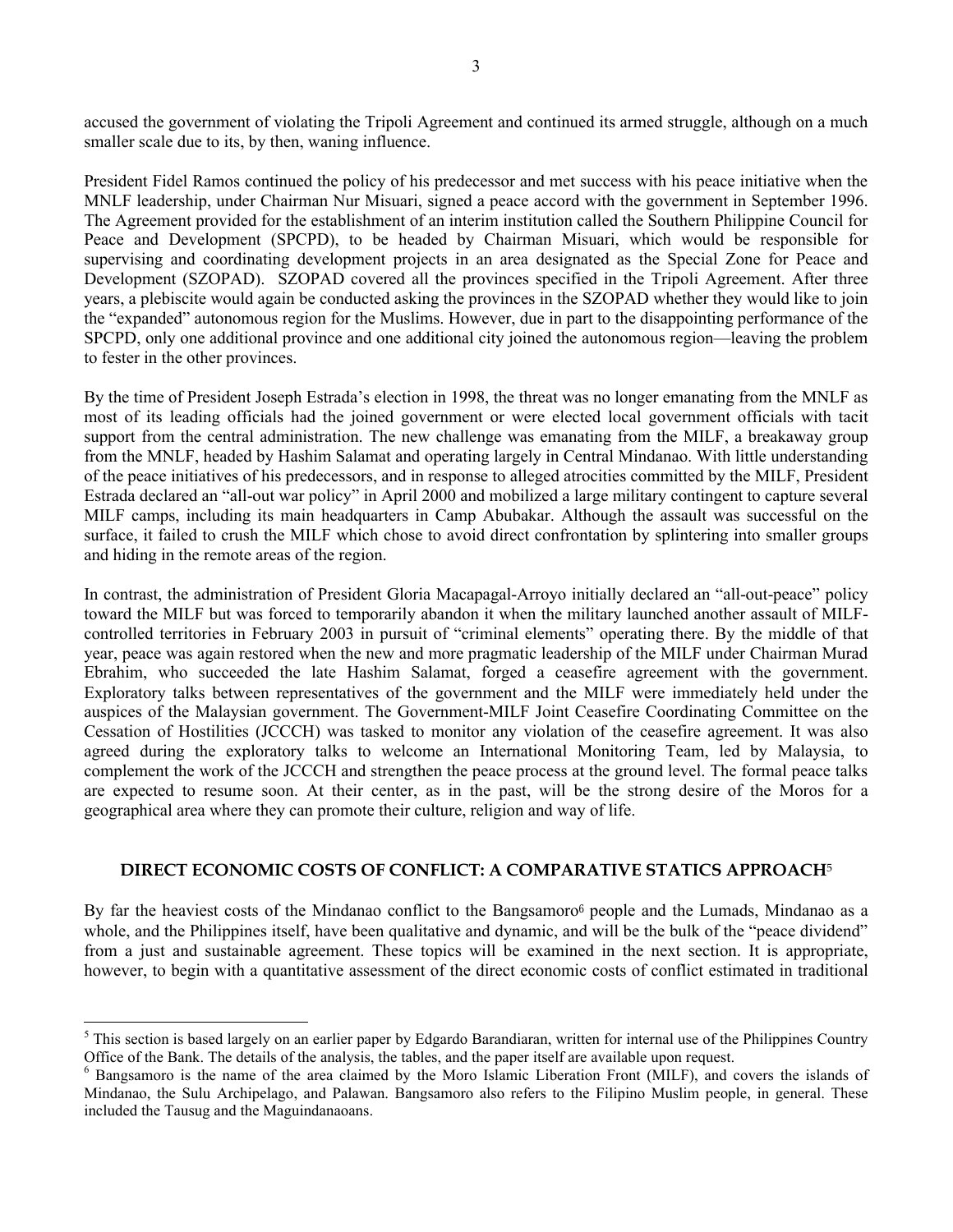accused the government of violating the Tripoli Agreement and continued its armed struggle, although on a much smaller scale due to its, by then, waning influence.

President Fidel Ramos continued the policy of his predecessor and met success with his peace initiative when the MNLF leadership, under Chairman Nur Misuari, signed a peace accord with the government in September 1996. The Agreement provided for the establishment of an interim institution called the Southern Philippine Council for Peace and Development (SPCPD), to be headed by Chairman Misuari, which would be responsible for supervising and coordinating development projects in an area designated as the Special Zone for Peace and Development (SZOPAD). SZOPAD covered all the provinces specified in the Tripoli Agreement. After three years, a plebiscite would again be conducted asking the provinces in the SZOPAD whether they would like to join the "expanded" autonomous region for the Muslims. However, due in part to the disappointing performance of the SPCPD, only one additional province and one additional city joined the autonomous region—leaving the problem to fester in the other provinces.

By the time of President Joseph Estrada's election in 1998, the threat was no longer emanating from the MNLF as most of its leading officials had the joined government or were elected local government officials with tacit support from the central administration. The new challenge was emanating from the MILF, a breakaway group from the MNLF, headed by Hashim Salamat and operating largely in Central Mindanao. With little understanding of the peace initiatives of his predecessors, and in response to alleged atrocities committed by the MILF, President Estrada declared an "all-out war policy" in April 2000 and mobilized a large military contingent to capture several MILF camps, including its main headquarters in Camp Abubakar. Although the assault was successful on the surface, it failed to crush the MILF which chose to avoid direct confrontation by splintering into smaller groups and hiding in the remote areas of the region.

In contrast, the administration of President Gloria Macapagal-Arroyo initially declared an "all-out-peace" policy toward the MILF but was forced to temporarily abandon it when the military launched another assault of MILFcontrolled territories in February 2003 in pursuit of "criminal elements" operating there. By the middle of that year, peace was again restored when the new and more pragmatic leadership of the MILF under Chairman Murad Ebrahim, who succeeded the late Hashim Salamat, forged a ceasefire agreement with the government. Exploratory talks between representatives of the government and the MILF were immediately held under the auspices of the Malaysian government. The Government-MILF Joint Ceasefire Coordinating Committee on the Cessation of Hostilities (JCCCH) was tasked to monitor any violation of the ceasefire agreement. It was also agreed during the exploratory talks to welcome an International Monitoring Team, led by Malaysia, to complement the work of the JCCCH and strengthen the peace process at the ground level. The formal peace talks are expected to resume soon. At their center, as in the past, will be the strong desire of the Moros for a geographical area where they can promote their culture, religion and way of life.

#### **DIRECT ECONOMIC COSTS OF CONFLICT: A COMPARATIVE STATICS APPROACH**<sup>5</sup>

By far the heaviest costs of the Mindanao conflict to the Bangsamoro<sup>6</sup> people and the Lumads, Mindanao as a whole, and the Philippines itself, have been qualitative and dynamic, and will be the bulk of the "peace dividend" from a just and sustainable agreement. These topics will be examined in the next section. It is appropriate, however, to begin with a quantitative assessment of the direct economic costs of conflict estimated in traditional

 $\overline{a}$ 

 $<sup>5</sup>$  This section is based largely on an earlier paper by Edgardo Barandiaran, written for internal use of the Philippines Country</sup> Office of the Bank. The details of the analysis, the tables, and the paper itself are available upon request.

<sup>&</sup>lt;sup>6</sup> Bangsamoro is the name of the area claimed by the Moro Islamic Liberation Front (MILF), and covers the islands of Mindanao, the Sulu Archipelago, and Palawan. Bangsamoro also refers to the Filipino Muslim people, in general. These included the Tausug and the Maguindanaoans.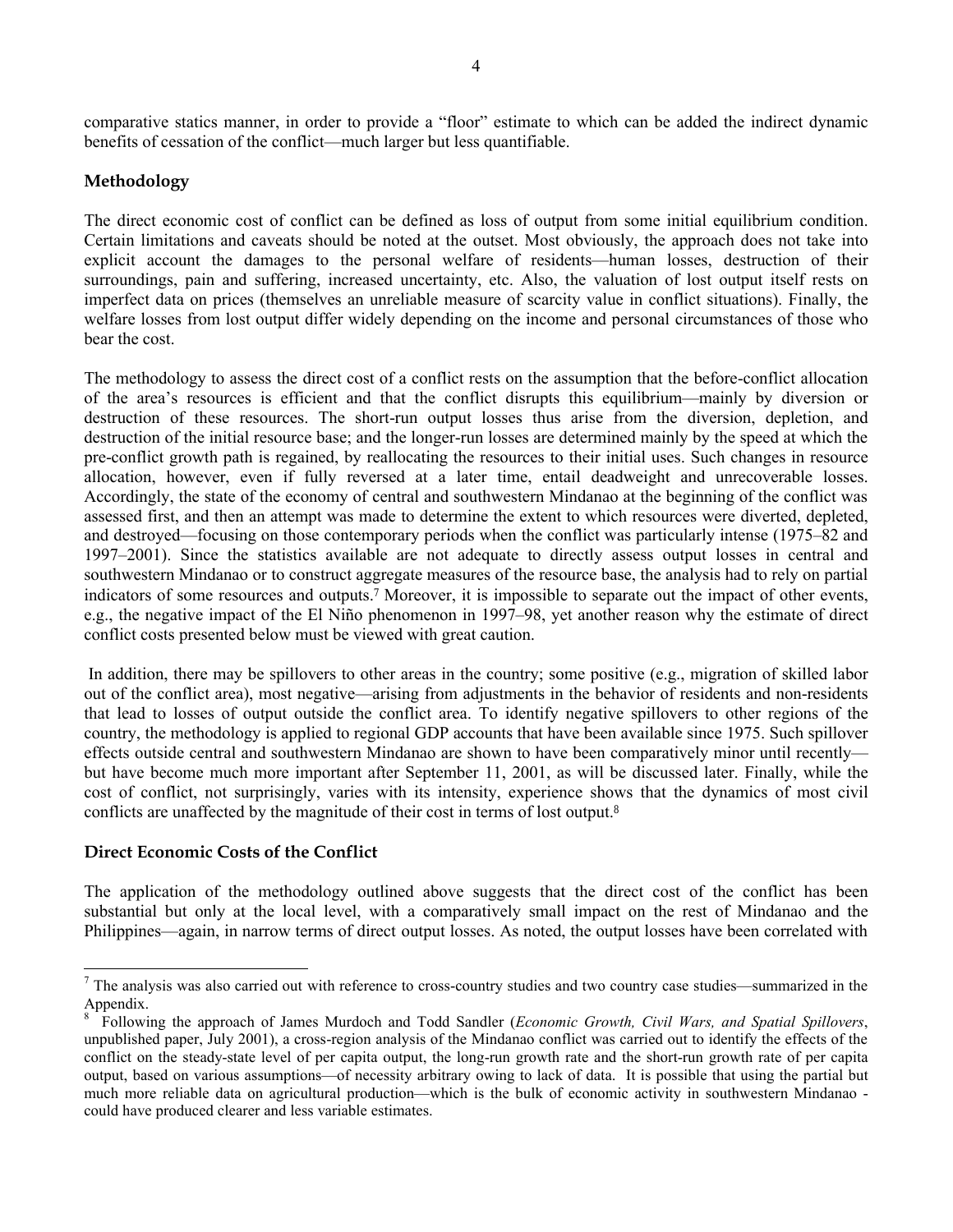comparative statics manner, in order to provide a "floor" estimate to which can be added the indirect dynamic benefits of cessation of the conflict—much larger but less quantifiable.

#### **Methodology**

The direct economic cost of conflict can be defined as loss of output from some initial equilibrium condition. Certain limitations and caveats should be noted at the outset. Most obviously, the approach does not take into explicit account the damages to the personal welfare of residents—human losses, destruction of their surroundings, pain and suffering, increased uncertainty, etc. Also, the valuation of lost output itself rests on imperfect data on prices (themselves an unreliable measure of scarcity value in conflict situations). Finally, the welfare losses from lost output differ widely depending on the income and personal circumstances of those who bear the cost.

The methodology to assess the direct cost of a conflict rests on the assumption that the before-conflict allocation of the area's resources is efficient and that the conflict disrupts this equilibrium—mainly by diversion or destruction of these resources. The short-run output losses thus arise from the diversion, depletion, and destruction of the initial resource base; and the longer-run losses are determined mainly by the speed at which the pre-conflict growth path is regained, by reallocating the resources to their initial uses. Such changes in resource allocation, however, even if fully reversed at a later time, entail deadweight and unrecoverable losses. Accordingly, the state of the economy of central and southwestern Mindanao at the beginning of the conflict was assessed first, and then an attempt was made to determine the extent to which resources were diverted, depleted, and destroyed—focusing on those contemporary periods when the conflict was particularly intense (1975–82 and 1997–2001). Since the statistics available are not adequate to directly assess output losses in central and southwestern Mindanao or to construct aggregate measures of the resource base, the analysis had to rely on partial indicators of some resources and outputs.<sup>7</sup> Moreover, it is impossible to separate out the impact of other events, e.g., the negative impact of the El Niño phenomenon in 1997–98, yet another reason why the estimate of direct conflict costs presented below must be viewed with great caution.

 In addition, there may be spillovers to other areas in the country; some positive (e.g., migration of skilled labor out of the conflict area), most negative—arising from adjustments in the behavior of residents and non-residents that lead to losses of output outside the conflict area. To identify negative spillovers to other regions of the country, the methodology is applied to regional GDP accounts that have been available since 1975. Such spillover effects outside central and southwestern Mindanao are shown to have been comparatively minor until recently but have become much more important after September 11, 2001, as will be discussed later. Finally, while the cost of conflict, not surprisingly, varies with its intensity, experience shows that the dynamics of most civil conflicts are unaffected by the magnitude of their cost in terms of lost output.<sup>8</sup>

#### **Direct Economic Costs of the Conflict**

l

The application of the methodology outlined above suggests that the direct cost of the conflict has been substantial but only at the local level, with a comparatively small impact on the rest of Mindanao and the Philippines—again, in narrow terms of direct output losses. As noted, the output losses have been correlated with

 $<sup>7</sup>$  The analysis was also carried out with reference to cross-country studies and two country case studies—summarized in the</sup> Appendix.

<sup>8</sup> Following the approach of James Murdoch and Todd Sandler (*Economic Growth, Civil Wars, and Spatial Spillovers*, unpublished paper, July 2001), a cross-region analysis of the Mindanao conflict was carried out to identify the effects of the conflict on the steady-state level of per capita output, the long-run growth rate and the short-run growth rate of per capita output, based on various assumptions—of necessity arbitrary owing to lack of data. It is possible that using the partial but much more reliable data on agricultural production—which is the bulk of economic activity in southwestern Mindanao could have produced clearer and less variable estimates.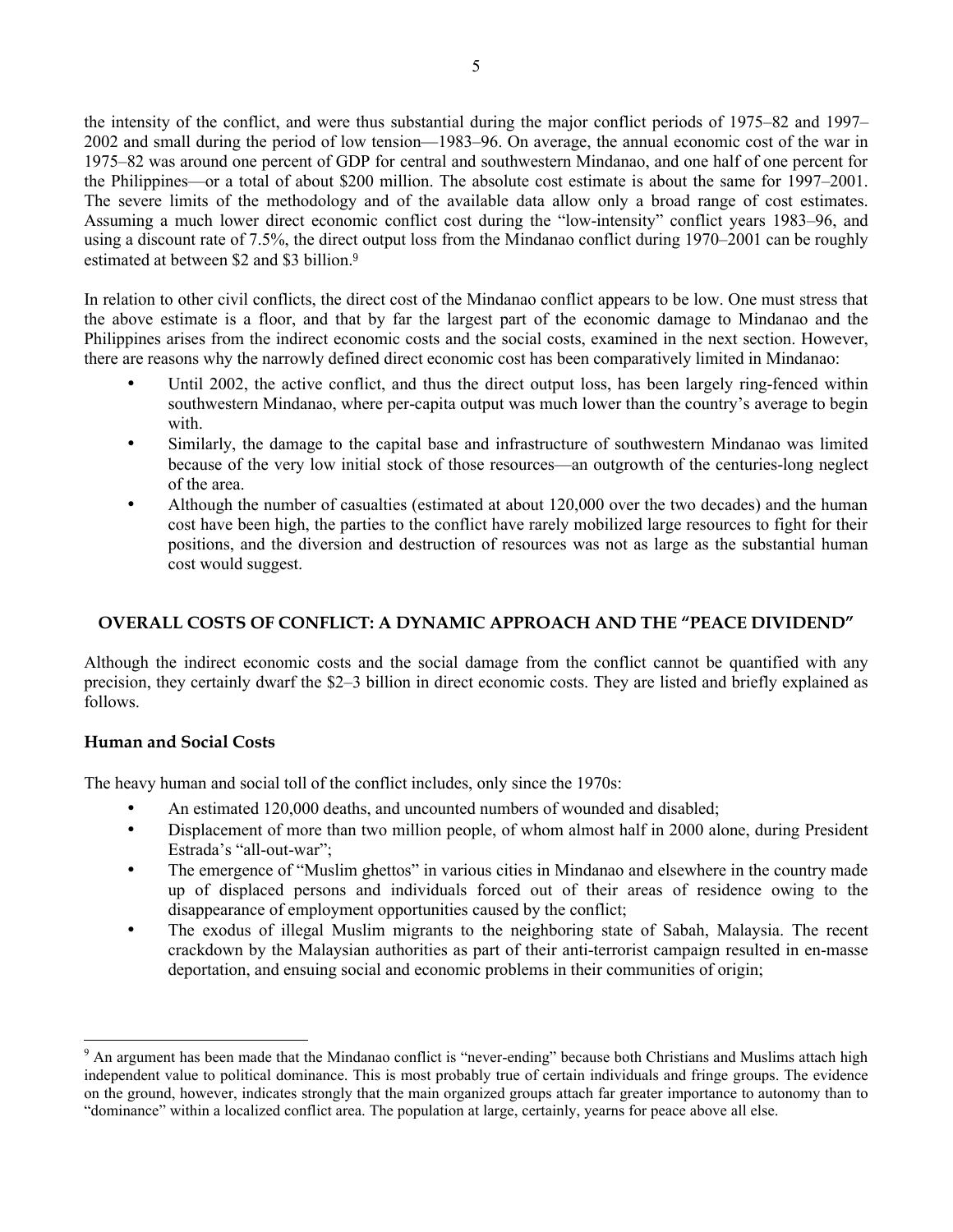the intensity of the conflict, and were thus substantial during the major conflict periods of 1975–82 and 1997– 2002 and small during the period of low tension—1983–96. On average, the annual economic cost of the war in 1975–82 was around one percent of GDP for central and southwestern Mindanao, and one half of one percent for the Philippines—or a total of about \$200 million. The absolute cost estimate is about the same for 1997–2001. The severe limits of the methodology and of the available data allow only a broad range of cost estimates. Assuming a much lower direct economic conflict cost during the "low-intensity" conflict years 1983–96, and using a discount rate of 7.5%, the direct output loss from the Mindanao conflict during 1970–2001 can be roughly estimated at between \$2 and \$3 billion.<sup>9</sup>

In relation to other civil conflicts, the direct cost of the Mindanao conflict appears to be low. One must stress that the above estimate is a floor, and that by far the largest part of the economic damage to Mindanao and the Philippines arises from the indirect economic costs and the social costs, examined in the next section. However, there are reasons why the narrowly defined direct economic cost has been comparatively limited in Mindanao:

- Until 2002, the active conflict, and thus the direct output loss, has been largely ring-fenced within southwestern Mindanao, where per-capita output was much lower than the country's average to begin with.
- Similarly, the damage to the capital base and infrastructure of southwestern Mindanao was limited because of the very low initial stock of those resources—an outgrowth of the centuries-long neglect of the area.
- Although the number of casualties (estimated at about 120,000 over the two decades) and the human cost have been high, the parties to the conflict have rarely mobilized large resources to fight for their positions, and the diversion and destruction of resources was not as large as the substantial human cost would suggest.

#### **OVERALL COSTS OF CONFLICT: A DYNAMIC APPROACH AND THE "PEACE DIVIDEND"**

Although the indirect economic costs and the social damage from the conflict cannot be quantified with any precision, they certainly dwarf the \$2–3 billion in direct economic costs. They are listed and briefly explained as follows.

#### **Human and Social Costs**

l

The heavy human and social toll of the conflict includes, only since the 1970s:

- An estimated 120,000 deaths, and uncounted numbers of wounded and disabled;
- Displacement of more than two million people, of whom almost half in 2000 alone, during President Estrada's "all-out-war";
- The emergence of "Muslim ghettos" in various cities in Mindanao and elsewhere in the country made up of displaced persons and individuals forced out of their areas of residence owing to the disappearance of employment opportunities caused by the conflict;
- The exodus of illegal Muslim migrants to the neighboring state of Sabah, Malaysia. The recent crackdown by the Malaysian authorities as part of their anti-terrorist campaign resulted in en-masse deportation, and ensuing social and economic problems in their communities of origin;

<sup>&</sup>lt;sup>9</sup> An argument has been made that the Mindanao conflict is "never-ending" because both Christians and Muslims attach high independent value to political dominance. This is most probably true of certain individuals and fringe groups. The evidence on the ground, however, indicates strongly that the main organized groups attach far greater importance to autonomy than to "dominance" within a localized conflict area. The population at large, certainly, yearns for peace above all else.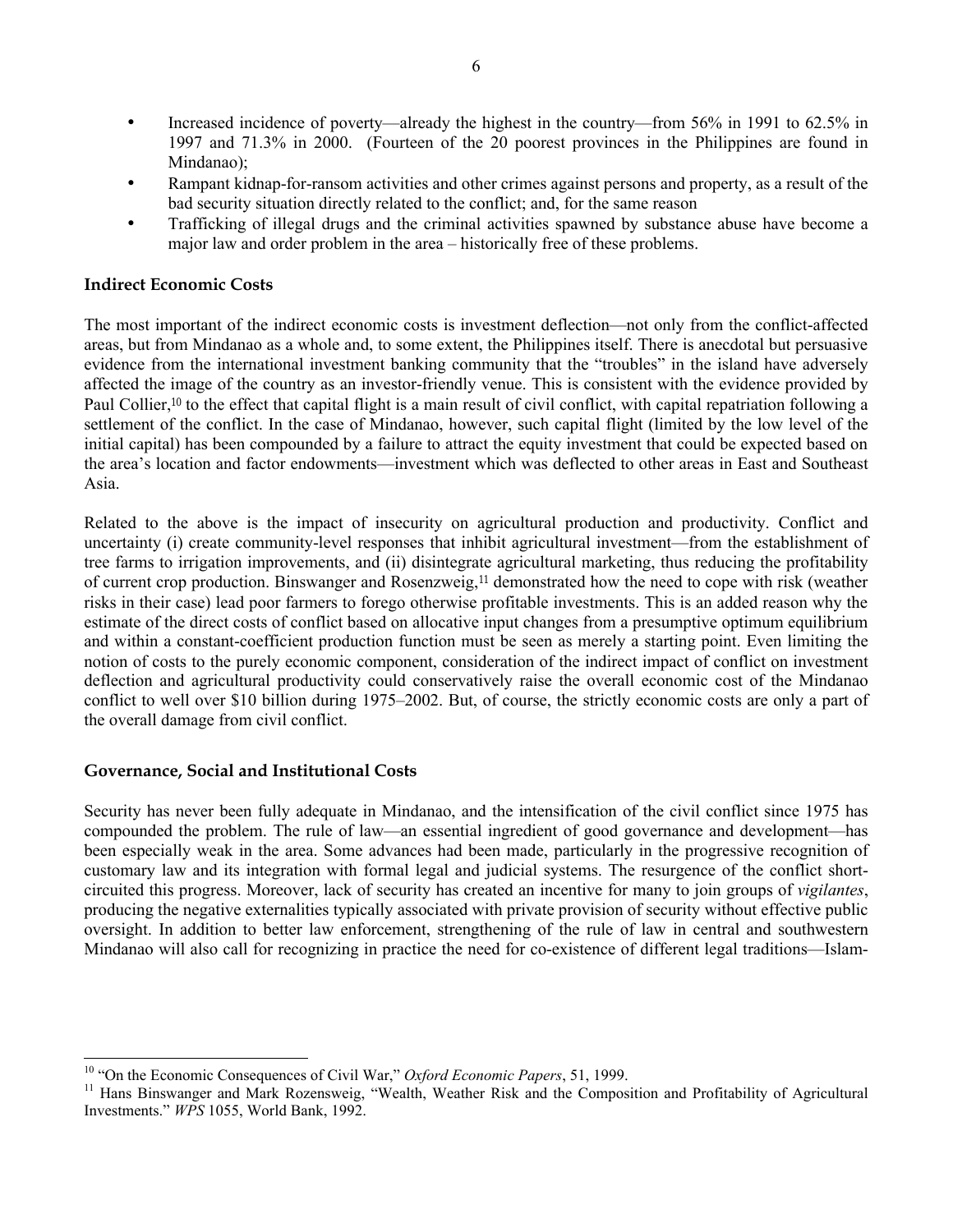- Increased incidence of poverty—already the highest in the country—from 56% in 1991 to 62.5% in 1997 and 71.3% in 2000. (Fourteen of the 20 poorest provinces in the Philippines are found in Mindanao);
- Rampant kidnap-for-ransom activities and other crimes against persons and property, as a result of the bad security situation directly related to the conflict; and, for the same reason
- Trafficking of illegal drugs and the criminal activities spawned by substance abuse have become a major law and order problem in the area – historically free of these problems.

#### **Indirect Economic Costs**

The most important of the indirect economic costs is investment deflection—not only from the conflict-affected areas, but from Mindanao as a whole and, to some extent, the Philippines itself. There is anecdotal but persuasive evidence from the international investment banking community that the "troubles" in the island have adversely affected the image of the country as an investor-friendly venue. This is consistent with the evidence provided by Paul Collier,<sup>10</sup> to the effect that capital flight is a main result of civil conflict, with capital repatriation following a settlement of the conflict. In the case of Mindanao, however, such capital flight (limited by the low level of the initial capital) has been compounded by a failure to attract the equity investment that could be expected based on the area's location and factor endowments—investment which was deflected to other areas in East and Southeast Asia.

Related to the above is the impact of insecurity on agricultural production and productivity. Conflict and uncertainty (i) create community-level responses that inhibit agricultural investment—from the establishment of tree farms to irrigation improvements, and (ii) disintegrate agricultural marketing, thus reducing the profitability of current crop production. Binswanger and Rosenzweig,11 demonstrated how the need to cope with risk (weather risks in their case) lead poor farmers to forego otherwise profitable investments. This is an added reason why the estimate of the direct costs of conflict based on allocative input changes from a presumptive optimum equilibrium and within a constant-coefficient production function must be seen as merely a starting point. Even limiting the notion of costs to the purely economic component, consideration of the indirect impact of conflict on investment deflection and agricultural productivity could conservatively raise the overall economic cost of the Mindanao conflict to well over \$10 billion during 1975–2002. But, of course, the strictly economic costs are only a part of the overall damage from civil conflict.

#### **Governance, Social and Institutional Costs**

l

Security has never been fully adequate in Mindanao, and the intensification of the civil conflict since 1975 has compounded the problem. The rule of law—an essential ingredient of good governance and development—has been especially weak in the area. Some advances had been made, particularly in the progressive recognition of customary law and its integration with formal legal and judicial systems. The resurgence of the conflict shortcircuited this progress. Moreover, lack of security has created an incentive for many to join groups of *vigilantes*, producing the negative externalities typically associated with private provision of security without effective public oversight. In addition to better law enforcement, strengthening of the rule of law in central and southwestern Mindanao will also call for recognizing in practice the need for co-existence of different legal traditions—Islam-

<sup>10</sup> "On the Economic Consequences of Civil War," *Oxford Economic Papers*, 51, 1999.

<sup>&</sup>lt;sup>11</sup> Hans Binswanger and Mark Rozensweig, "Wealth, Weather Risk and the Composition and Profitability of Agricultural Investments." *WPS* 1055, World Bank, 1992.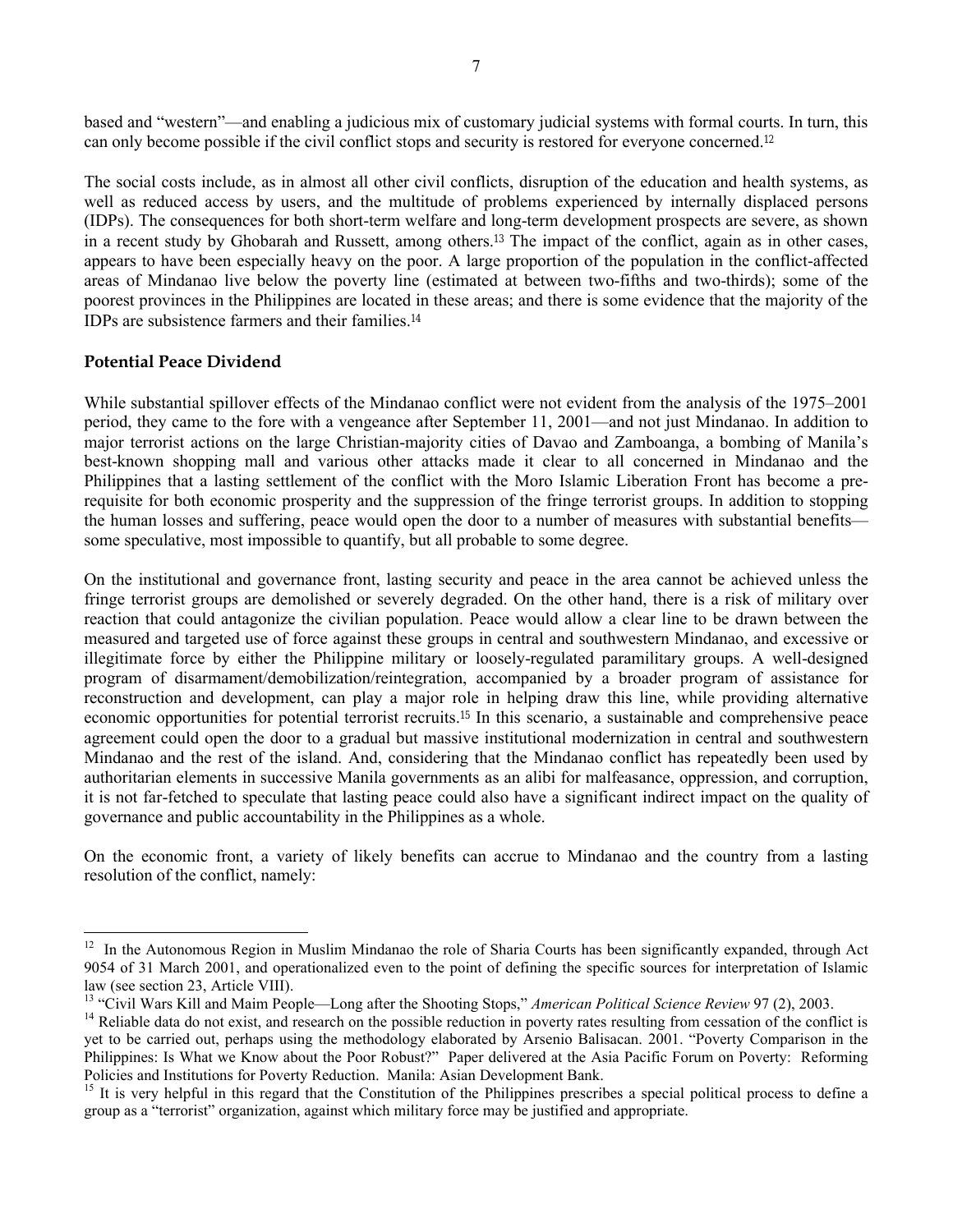based and "western"—and enabling a judicious mix of customary judicial systems with formal courts. In turn, this can only become possible if the civil conflict stops and security is restored for everyone concerned.<sup>12</sup>

The social costs include, as in almost all other civil conflicts, disruption of the education and health systems, as well as reduced access by users, and the multitude of problems experienced by internally displaced persons (IDPs). The consequences for both short-term welfare and long-term development prospects are severe, as shown in a recent study by Ghobarah and Russett, among others.13 The impact of the conflict, again as in other cases, appears to have been especially heavy on the poor. A large proportion of the population in the conflict-affected areas of Mindanao live below the poverty line (estimated at between two-fifths and two-thirds); some of the poorest provinces in the Philippines are located in these areas; and there is some evidence that the majority of the IDPs are subsistence farmers and their families.<sup>14</sup>

#### **Potential Peace Dividend**

l

While substantial spillover effects of the Mindanao conflict were not evident from the analysis of the 1975–2001 period, they came to the fore with a vengeance after September 11, 2001—and not just Mindanao. In addition to major terrorist actions on the large Christian-majority cities of Davao and Zamboanga, a bombing of Manila's best-known shopping mall and various other attacks made it clear to all concerned in Mindanao and the Philippines that a lasting settlement of the conflict with the Moro Islamic Liberation Front has become a prerequisite for both economic prosperity and the suppression of the fringe terrorist groups. In addition to stopping the human losses and suffering, peace would open the door to a number of measures with substantial benefits some speculative, most impossible to quantify, but all probable to some degree.

On the institutional and governance front, lasting security and peace in the area cannot be achieved unless the fringe terrorist groups are demolished or severely degraded. On the other hand, there is a risk of military over reaction that could antagonize the civilian population. Peace would allow a clear line to be drawn between the measured and targeted use of force against these groups in central and southwestern Mindanao, and excessive or illegitimate force by either the Philippine military or loosely-regulated paramilitary groups. A well-designed program of disarmament/demobilization/reintegration, accompanied by a broader program of assistance for reconstruction and development, can play a major role in helping draw this line, while providing alternative economic opportunities for potential terrorist recruits.15 In this scenario, a sustainable and comprehensive peace agreement could open the door to a gradual but massive institutional modernization in central and southwestern Mindanao and the rest of the island. And, considering that the Mindanao conflict has repeatedly been used by authoritarian elements in successive Manila governments as an alibi for malfeasance, oppression, and corruption, it is not far-fetched to speculate that lasting peace could also have a significant indirect impact on the quality of governance and public accountability in the Philippines as a whole.

On the economic front, a variety of likely benefits can accrue to Mindanao and the country from a lasting resolution of the conflict, namely:

<sup>&</sup>lt;sup>12</sup> In the Autonomous Region in Muslim Mindanao the role of Sharia Courts has been significantly expanded, through Act 9054 of 31 March 2001, and operationalized even to the point of defining the specific sources for interpretation of Islamic law (see section 23, Article VIII).

<sup>13</sup> "Civil Wars Kill and Maim People—Long after the Shooting Stops," *American Political Science Review* 97 (2), 2003.

 $<sup>14</sup>$  Reliable data do not exist, and research on the possible reduction in poverty rates resulting from cessation of the conflict is</sup> yet to be carried out, perhaps using the methodology elaborated by Arsenio Balisacan. 2001. "Poverty Comparison in the Philippines: Is What we Know about the Poor Robust?" Paper delivered at the Asia Pacific Forum on Poverty: Reforming Policies and Institutions for Poverty Reduction. Manila: Asian Development Bank.

<sup>&</sup>lt;sup>15</sup> It is very helpful in this regard that the Constitution of the Philippines prescribes a special political process to define a group as a "terrorist" organization, against which military force may be justified and appropriate.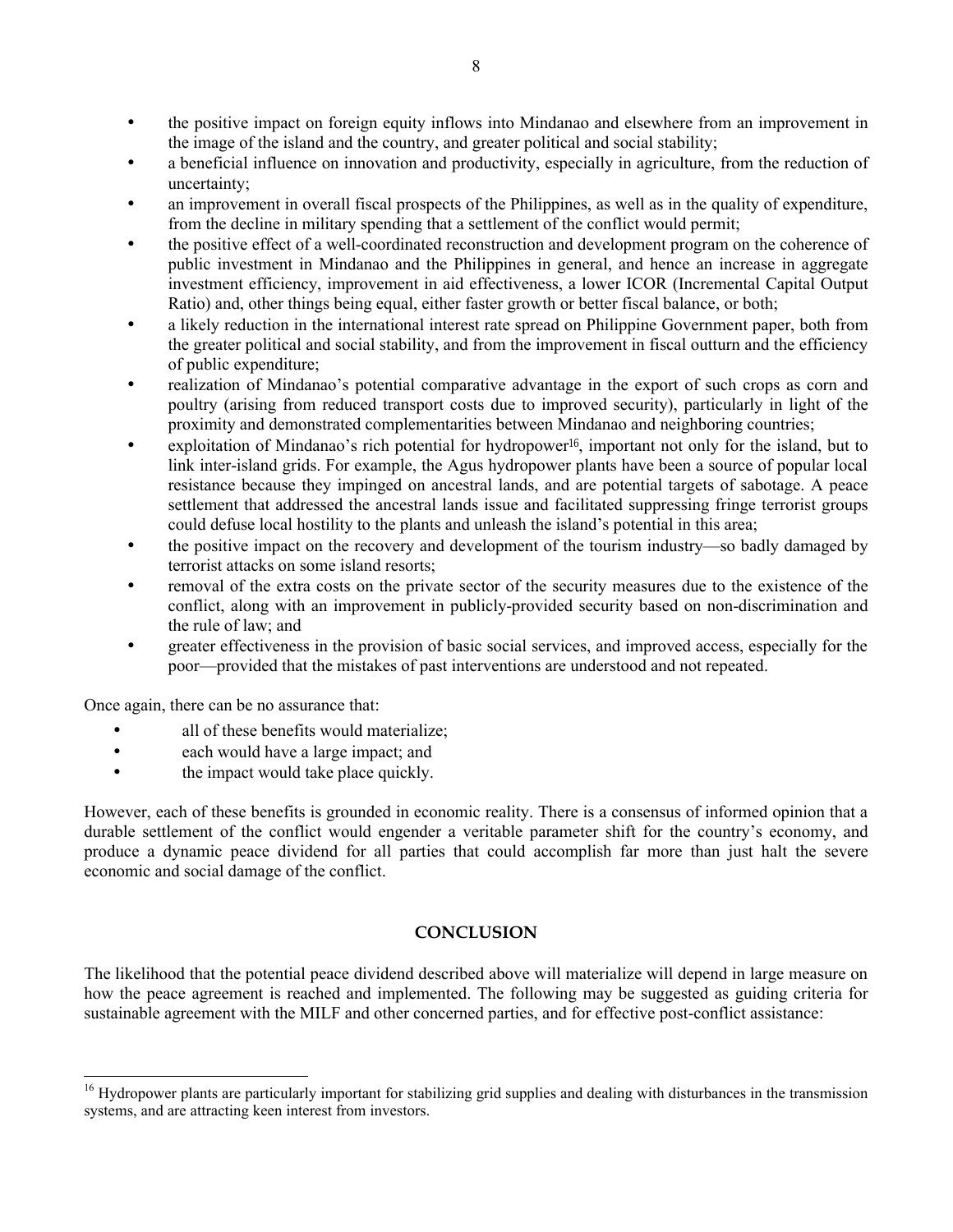- the positive impact on foreign equity inflows into Mindanao and elsewhere from an improvement in the image of the island and the country, and greater political and social stability;
- a beneficial influence on innovation and productivity, especially in agriculture, from the reduction of uncertainty;
- an improvement in overall fiscal prospects of the Philippines, as well as in the quality of expenditure, from the decline in military spending that a settlement of the conflict would permit;
- the positive effect of a well-coordinated reconstruction and development program on the coherence of public investment in Mindanao and the Philippines in general, and hence an increase in aggregate investment efficiency, improvement in aid effectiveness, a lower ICOR (Incremental Capital Output Ratio) and, other things being equal, either faster growth or better fiscal balance, or both;
- a likely reduction in the international interest rate spread on Philippine Government paper, both from the greater political and social stability, and from the improvement in fiscal outturn and the efficiency of public expenditure;
- realization of Mindanao's potential comparative advantage in the export of such crops as corn and poultry (arising from reduced transport costs due to improved security), particularly in light of the proximity and demonstrated complementarities between Mindanao and neighboring countries;
- exploitation of Mindanao's rich potential for hydropower<sup>16</sup>, important not only for the island, but to link inter-island grids. For example, the Agus hydropower plants have been a source of popular local resistance because they impinged on ancestral lands, and are potential targets of sabotage. A peace settlement that addressed the ancestral lands issue and facilitated suppressing fringe terrorist groups could defuse local hostility to the plants and unleash the island's potential in this area;
- the positive impact on the recovery and development of the tourism industry—so badly damaged by terrorist attacks on some island resorts;
- removal of the extra costs on the private sector of the security measures due to the existence of the conflict, along with an improvement in publicly-provided security based on non-discrimination and the rule of law; and
- greater effectiveness in the provision of basic social services, and improved access, especially for the poor—provided that the mistakes of past interventions are understood and not repeated.

Once again, there can be no assurance that:

 $\overline{\phantom{a}}$ 

- all of these benefits would materialize;
- each would have a large impact; and
- the impact would take place quickly.

However, each of these benefits is grounded in economic reality. There is a consensus of informed opinion that a durable settlement of the conflict would engender a veritable parameter shift for the country's economy, and produce a dynamic peace dividend for all parties that could accomplish far more than just halt the severe economic and social damage of the conflict.

#### **CONCLUSION**

The likelihood that the potential peace dividend described above will materialize will depend in large measure on how the peace agreement is reached and implemented. The following may be suggested as guiding criteria for sustainable agreement with the MILF and other concerned parties, and for effective post-conflict assistance:

<sup>&</sup>lt;sup>16</sup> Hydropower plants are particularly important for stabilizing grid supplies and dealing with disturbances in the transmission systems, and are attracting keen interest from investors.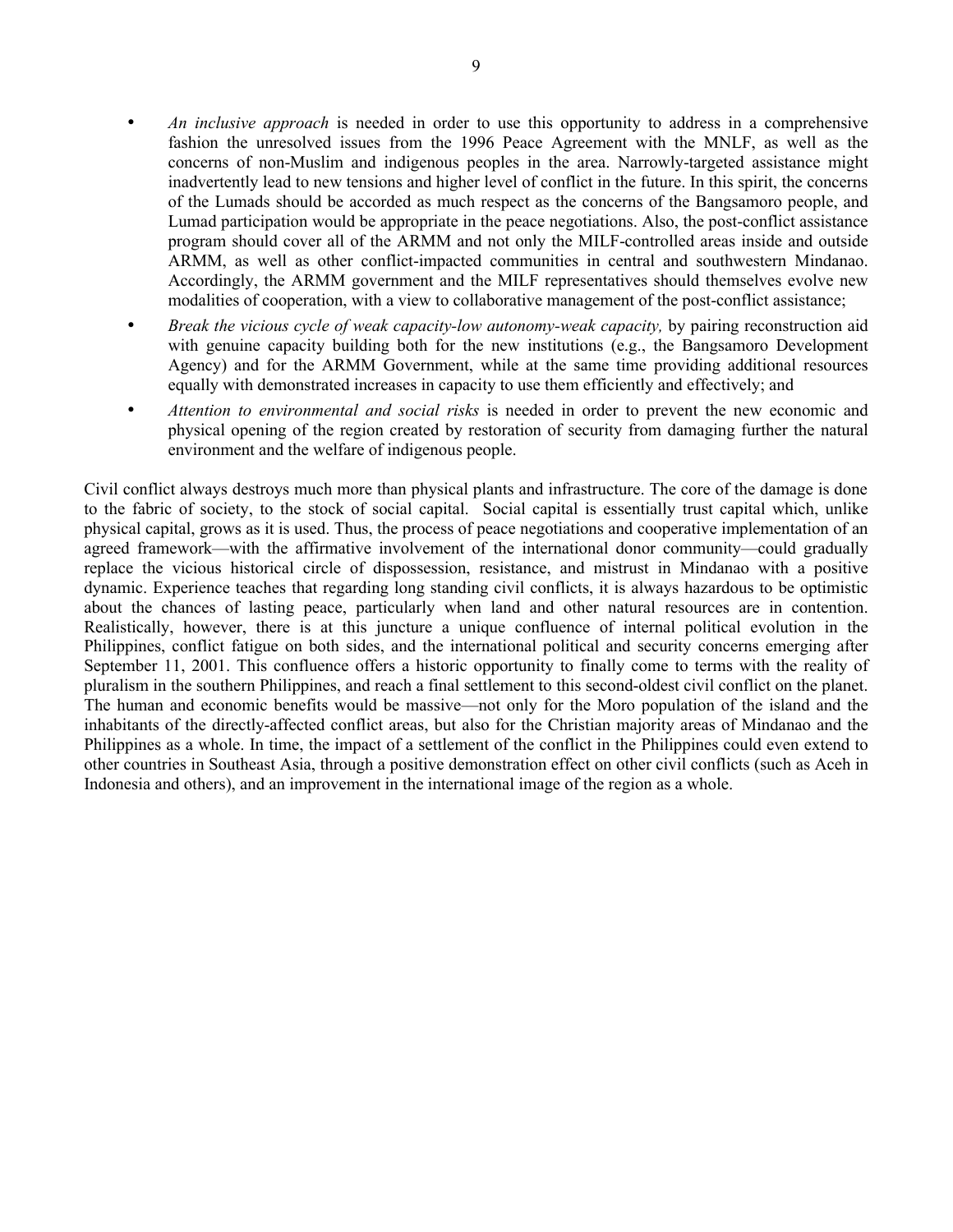- *An inclusive approach* is needed in order to use this opportunity to address in a comprehensive fashion the unresolved issues from the 1996 Peace Agreement with the MNLF, as well as the concerns of non-Muslim and indigenous peoples in the area. Narrowly-targeted assistance might inadvertently lead to new tensions and higher level of conflict in the future. In this spirit, the concerns of the Lumads should be accorded as much respect as the concerns of the Bangsamoro people, and Lumad participation would be appropriate in the peace negotiations. Also, the post-conflict assistance program should cover all of the ARMM and not only the MILF-controlled areas inside and outside ARMM, as well as other conflict-impacted communities in central and southwestern Mindanao. Accordingly, the ARMM government and the MILF representatives should themselves evolve new modalities of cooperation, with a view to collaborative management of the post-conflict assistance;
- *Break the vicious cycle of weak capacity-low autonomy-weak capacity,* by pairing reconstruction aid with genuine capacity building both for the new institutions (e.g., the Bangsamoro Development Agency) and for the ARMM Government, while at the same time providing additional resources equally with demonstrated increases in capacity to use them efficiently and effectively; and
- *Attention to environmental and social risks* is needed in order to prevent the new economic and physical opening of the region created by restoration of security from damaging further the natural environment and the welfare of indigenous people.

Civil conflict always destroys much more than physical plants and infrastructure. The core of the damage is done to the fabric of society, to the stock of social capital. Social capital is essentially trust capital which, unlike physical capital, grows as it is used. Thus, the process of peace negotiations and cooperative implementation of an agreed framework—with the affirmative involvement of the international donor community—could gradually replace the vicious historical circle of dispossession, resistance, and mistrust in Mindanao with a positive dynamic. Experience teaches that regarding long standing civil conflicts, it is always hazardous to be optimistic about the chances of lasting peace, particularly when land and other natural resources are in contention. Realistically, however, there is at this juncture a unique confluence of internal political evolution in the Philippines, conflict fatigue on both sides, and the international political and security concerns emerging after September 11, 2001. This confluence offers a historic opportunity to finally come to terms with the reality of pluralism in the southern Philippines, and reach a final settlement to this second-oldest civil conflict on the planet. The human and economic benefits would be massive—not only for the Moro population of the island and the inhabitants of the directly-affected conflict areas, but also for the Christian majority areas of Mindanao and the Philippines as a whole. In time, the impact of a settlement of the conflict in the Philippines could even extend to other countries in Southeast Asia, through a positive demonstration effect on other civil conflicts (such as Aceh in Indonesia and others), and an improvement in the international image of the region as a whole.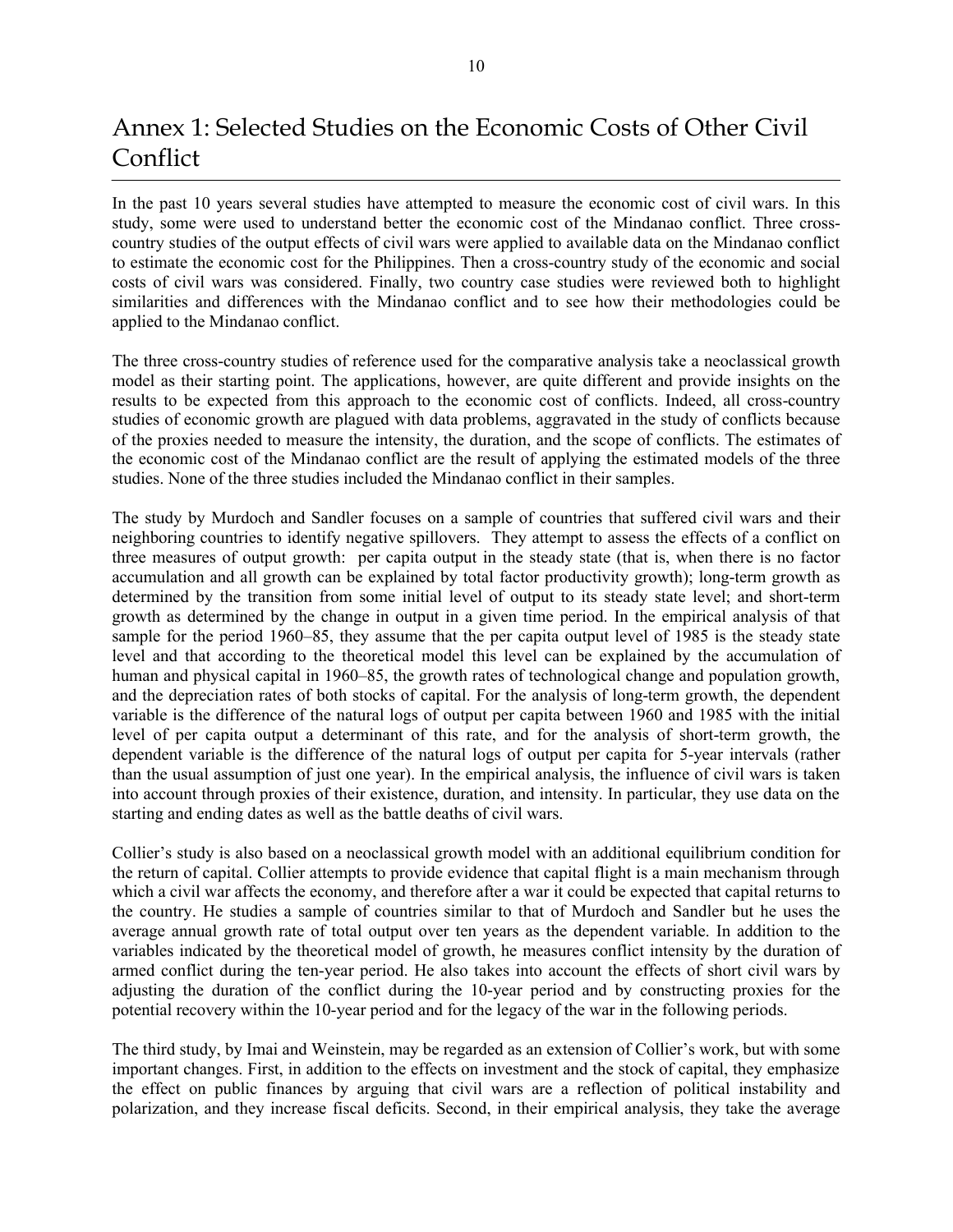## Annex 1: Selected Studies on the Economic Costs of Other Civil Conflict

In the past 10 years several studies have attempted to measure the economic cost of civil wars. In this study, some were used to understand better the economic cost of the Mindanao conflict. Three crosscountry studies of the output effects of civil wars were applied to available data on the Mindanao conflict to estimate the economic cost for the Philippines. Then a cross-country study of the economic and social costs of civil wars was considered. Finally, two country case studies were reviewed both to highlight similarities and differences with the Mindanao conflict and to see how their methodologies could be applied to the Mindanao conflict.

The three cross-country studies of reference used for the comparative analysis take a neoclassical growth model as their starting point. The applications, however, are quite different and provide insights on the results to be expected from this approach to the economic cost of conflicts. Indeed, all cross-country studies of economic growth are plagued with data problems, aggravated in the study of conflicts because of the proxies needed to measure the intensity, the duration, and the scope of conflicts. The estimates of the economic cost of the Mindanao conflict are the result of applying the estimated models of the three studies. None of the three studies included the Mindanao conflict in their samples.

The study by Murdoch and Sandler focuses on a sample of countries that suffered civil wars and their neighboring countries to identify negative spillovers. They attempt to assess the effects of a conflict on three measures of output growth: per capita output in the steady state (that is, when there is no factor accumulation and all growth can be explained by total factor productivity growth); long-term growth as determined by the transition from some initial level of output to its steady state level; and short-term growth as determined by the change in output in a given time period. In the empirical analysis of that sample for the period 1960–85, they assume that the per capita output level of 1985 is the steady state level and that according to the theoretical model this level can be explained by the accumulation of human and physical capital in 1960–85, the growth rates of technological change and population growth, and the depreciation rates of both stocks of capital. For the analysis of long-term growth, the dependent variable is the difference of the natural logs of output per capita between 1960 and 1985 with the initial level of per capita output a determinant of this rate, and for the analysis of short-term growth, the dependent variable is the difference of the natural logs of output per capita for 5-year intervals (rather than the usual assumption of just one year). In the empirical analysis, the influence of civil wars is taken into account through proxies of their existence, duration, and intensity. In particular, they use data on the starting and ending dates as well as the battle deaths of civil wars.

Collier's study is also based on a neoclassical growth model with an additional equilibrium condition for the return of capital. Collier attempts to provide evidence that capital flight is a main mechanism through which a civil war affects the economy, and therefore after a war it could be expected that capital returns to the country. He studies a sample of countries similar to that of Murdoch and Sandler but he uses the average annual growth rate of total output over ten years as the dependent variable. In addition to the variables indicated by the theoretical model of growth, he measures conflict intensity by the duration of armed conflict during the ten-year period. He also takes into account the effects of short civil wars by adjusting the duration of the conflict during the 10-year period and by constructing proxies for the potential recovery within the 10-year period and for the legacy of the war in the following periods.

The third study, by Imai and Weinstein, may be regarded as an extension of Collier's work, but with some important changes. First, in addition to the effects on investment and the stock of capital, they emphasize the effect on public finances by arguing that civil wars are a reflection of political instability and polarization, and they increase fiscal deficits. Second, in their empirical analysis, they take the average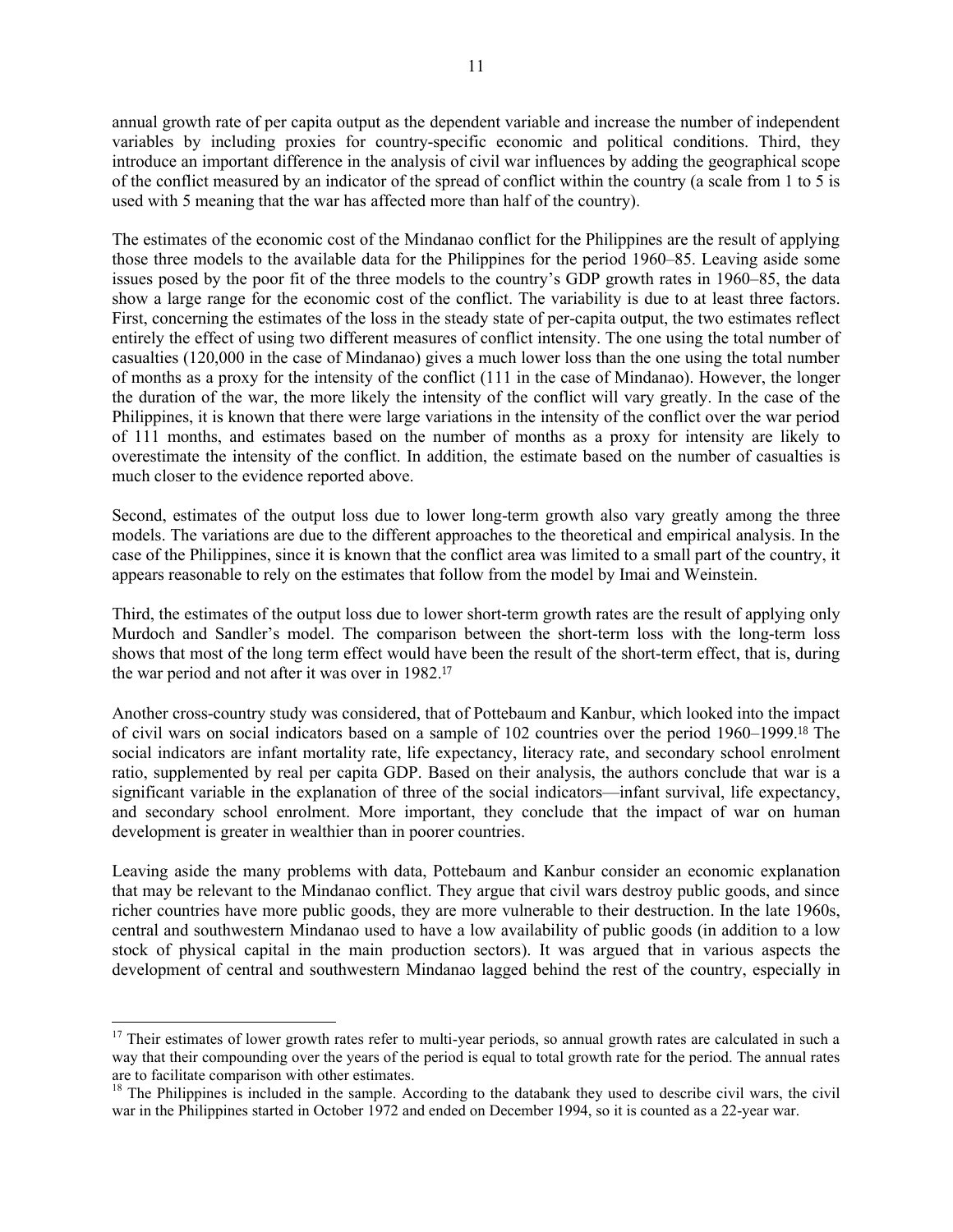annual growth rate of per capita output as the dependent variable and increase the number of independent variables by including proxies for country-specific economic and political conditions. Third, they introduce an important difference in the analysis of civil war influences by adding the geographical scope of the conflict measured by an indicator of the spread of conflict within the country (a scale from 1 to 5 is used with 5 meaning that the war has affected more than half of the country).

The estimates of the economic cost of the Mindanao conflict for the Philippines are the result of applying those three models to the available data for the Philippines for the period 1960–85. Leaving aside some issues posed by the poor fit of the three models to the country's GDP growth rates in 1960–85, the data show a large range for the economic cost of the conflict. The variability is due to at least three factors. First, concerning the estimates of the loss in the steady state of per-capita output, the two estimates reflect entirely the effect of using two different measures of conflict intensity. The one using the total number of casualties (120,000 in the case of Mindanao) gives a much lower loss than the one using the total number of months as a proxy for the intensity of the conflict (111 in the case of Mindanao). However, the longer the duration of the war, the more likely the intensity of the conflict will vary greatly. In the case of the Philippines, it is known that there were large variations in the intensity of the conflict over the war period of 111 months, and estimates based on the number of months as a proxy for intensity are likely to overestimate the intensity of the conflict. In addition, the estimate based on the number of casualties is much closer to the evidence reported above.

Second, estimates of the output loss due to lower long-term growth also vary greatly among the three models. The variations are due to the different approaches to the theoretical and empirical analysis. In the case of the Philippines, since it is known that the conflict area was limited to a small part of the country, it appears reasonable to rely on the estimates that follow from the model by Imai and Weinstein.

Third, the estimates of the output loss due to lower short-term growth rates are the result of applying only Murdoch and Sandler's model. The comparison between the short-term loss with the long-term loss shows that most of the long term effect would have been the result of the short-term effect, that is, during the war period and not after it was over in 1982.<sup>17</sup>

Another cross-country study was considered, that of Pottebaum and Kanbur, which looked into the impact of civil wars on social indicators based on a sample of 102 countries over the period 1960–1999.18 The social indicators are infant mortality rate, life expectancy, literacy rate, and secondary school enrolment ratio, supplemented by real per capita GDP. Based on their analysis, the authors conclude that war is a significant variable in the explanation of three of the social indicators—infant survival, life expectancy, and secondary school enrolment. More important, they conclude that the impact of war on human development is greater in wealthier than in poorer countries.

Leaving aside the many problems with data, Pottebaum and Kanbur consider an economic explanation that may be relevant to the Mindanao conflict. They argue that civil wars destroy public goods, and since richer countries have more public goods, they are more vulnerable to their destruction. In the late 1960s, central and southwestern Mindanao used to have a low availability of public goods (in addition to a low stock of physical capital in the main production sectors). It was argued that in various aspects the development of central and southwestern Mindanao lagged behind the rest of the country, especially in

 $\overline{a}$ 

 $17$  Their estimates of lower growth rates refer to multi-year periods, so annual growth rates are calculated in such a way that their compounding over the years of the period is equal to total growth rate for the period. The annual rates are to facilitate comparison with other estimates.

 $18$  The Philippines is included in the sample. According to the databank they used to describe civil wars, the civil war in the Philippines started in October 1972 and ended on December 1994, so it is counted as a 22-year war.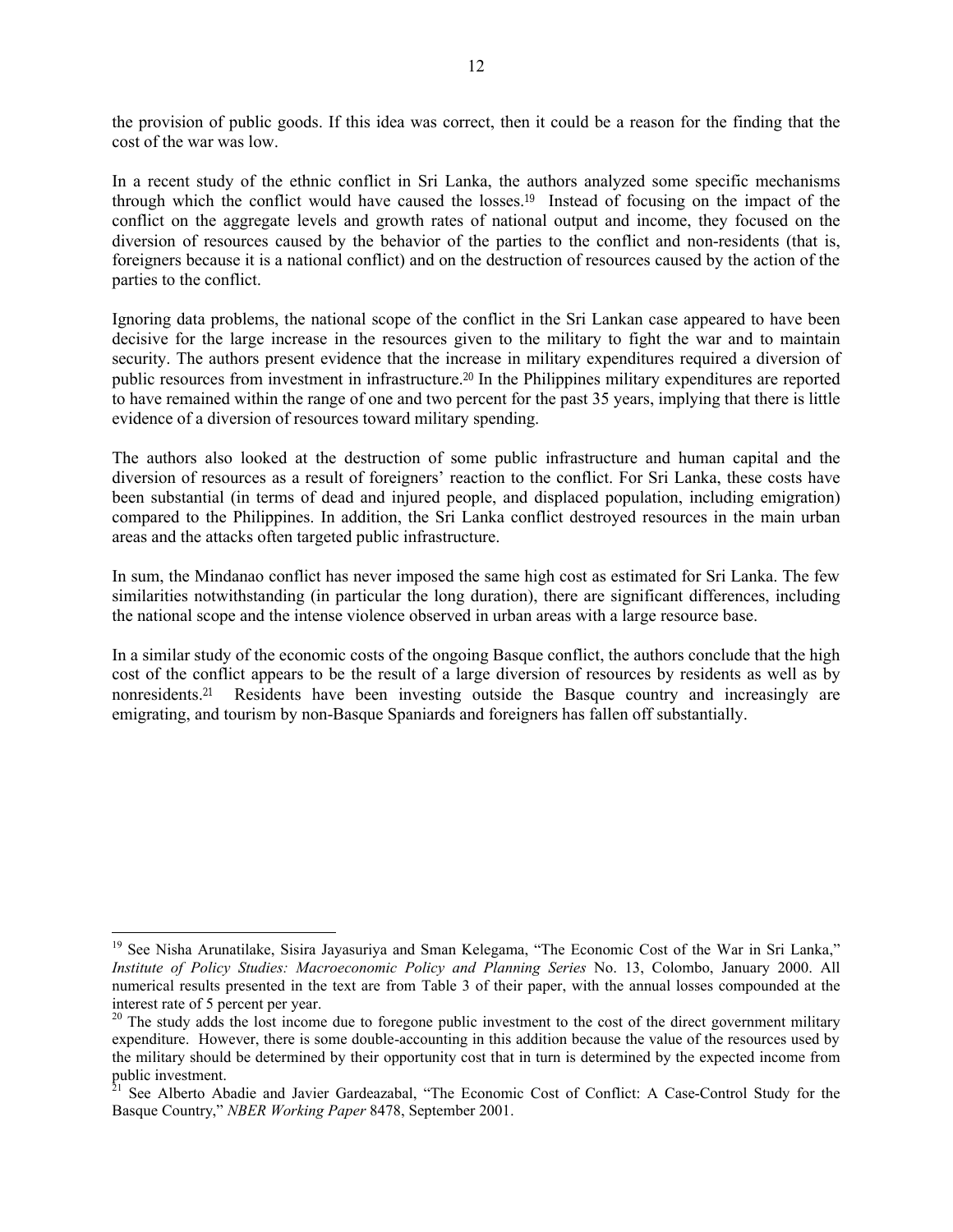the provision of public goods. If this idea was correct, then it could be a reason for the finding that the cost of the war was low.

In a recent study of the ethnic conflict in Sri Lanka, the authors analyzed some specific mechanisms through which the conflict would have caused the losses.19 Instead of focusing on the impact of the conflict on the aggregate levels and growth rates of national output and income, they focused on the diversion of resources caused by the behavior of the parties to the conflict and non-residents (that is, foreigners because it is a national conflict) and on the destruction of resources caused by the action of the parties to the conflict.

Ignoring data problems, the national scope of the conflict in the Sri Lankan case appeared to have been decisive for the large increase in the resources given to the military to fight the war and to maintain security. The authors present evidence that the increase in military expenditures required a diversion of public resources from investment in infrastructure.20 In the Philippines military expenditures are reported to have remained within the range of one and two percent for the past 35 years, implying that there is little evidence of a diversion of resources toward military spending.

The authors also looked at the destruction of some public infrastructure and human capital and the diversion of resources as a result of foreigners' reaction to the conflict. For Sri Lanka, these costs have been substantial (in terms of dead and injured people, and displaced population, including emigration) compared to the Philippines. In addition, the Sri Lanka conflict destroyed resources in the main urban areas and the attacks often targeted public infrastructure.

In sum, the Mindanao conflict has never imposed the same high cost as estimated for Sri Lanka. The few similarities notwithstanding (in particular the long duration), there are significant differences, including the national scope and the intense violence observed in urban areas with a large resource base.

In a similar study of the economic costs of the ongoing Basque conflict, the authors conclude that the high cost of the conflict appears to be the result of a large diversion of resources by residents as well as by nonresidents.21 Residents have been investing outside the Basque country and increasingly are emigrating, and tourism by non-Basque Spaniards and foreigners has fallen off substantially.

l

<sup>&</sup>lt;sup>19</sup> See Nisha Arunatilake, Sisira Jayasuriya and Sman Kelegama, "The Economic Cost of the War in Sri Lanka," *Institute of Policy Studies: Macroeconomic Policy and Planning Series* No. 13, Colombo, January 2000. All numerical results presented in the text are from Table 3 of their paper, with the annual losses compounded at the interest rate of 5 percent per year.

<sup>&</sup>lt;sup>20</sup> The study adds the lost income due to foregone public investment to the cost of the direct government military expenditure. However, there is some double-accounting in this addition because the value of the resources used by the military should be determined by their opportunity cost that in turn is determined by the expected income from public investment.

<sup>&</sup>lt;sup>21</sup> See Alberto Abadie and Javier Gardeazabal, "The Economic Cost of Conflict: A Case-Control Study for the Basque Country," *NBER Working Paper* 8478, September 2001.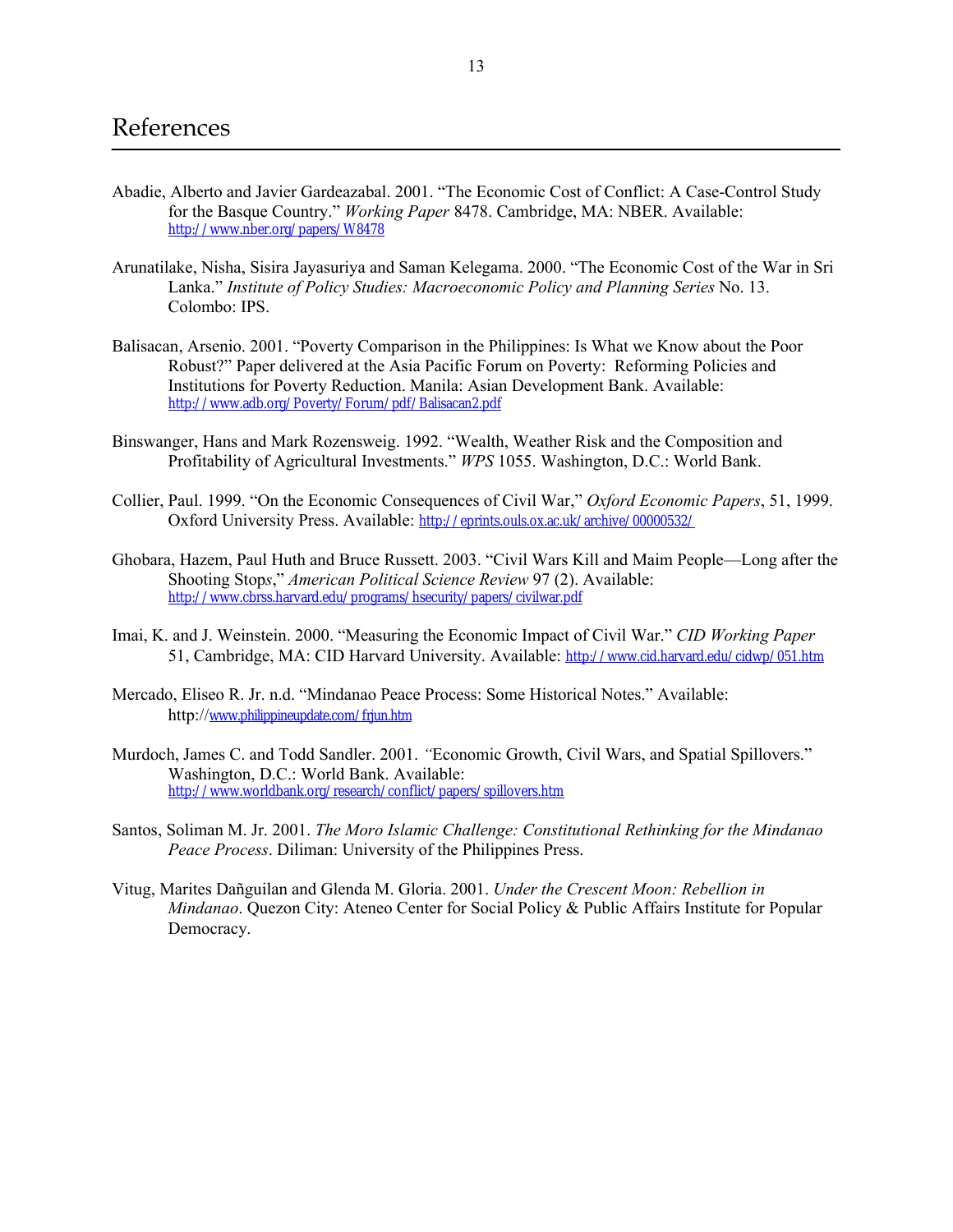- Abadie, Alberto and Javier Gardeazabal. 2001. "The Economic Cost of Conflict: A Case-Control Study for the Basque Country." *Working Paper* 8478. Cambridge, MA: NBER. Available: http://www.nber.org/papers/W8478
- Arunatilake, Nisha, Sisira Jayasuriya and Saman Kelegama. 2000. "The Economic Cost of the War in Sri Lanka." *Institute of Policy Studies: Macroeconomic Policy and Planning Series* No. 13. Colombo: IPS.
- Balisacan, Arsenio. 2001. "Poverty Comparison in the Philippines: Is What we Know about the Poor Robust?" Paper delivered at the Asia Pacific Forum on Poverty: Reforming Policies and Institutions for Poverty Reduction. Manila: Asian Development Bank. Available: http://www.adb.org/Poverty/Forum/pdf/Balisacan2.pdf
- Binswanger, Hans and Mark Rozensweig. 1992. "Wealth, Weather Risk and the Composition and Profitability of Agricultural Investments." *WPS* 1055. Washington, D.C.: World Bank.
- Collier, Paul. 1999. "On the Economic Consequences of Civil War," *Oxford Economic Papers*, 51, 1999. Oxford University Press. Available: http://eprints.ouls.ox.ac.uk/archive/00000532/
- Ghobara, Hazem, Paul Huth and Bruce Russett. 2003. "Civil Wars Kill and Maim People—Long after the Shooting Stop*s*," *American Political Science Review* 97 (2). Available: http://www.cbrss.harvard.edu/programs/hsecurity/papers/civilwar.pdf
- Imai, K. and J. Weinstein. 2000. "Measuring the Economic Impact of Civil War." *CID Working Paper* 51, Cambridge, MA: CID Harvard University. Available: http://www.cid.harvard.edu/cidwp/051.htm
- Mercado, Eliseo R. Jr. n.d. "Mindanao Peace Process: Some Historical Notes." Available: http://www.philippineupdate.com/frjun.htm
- Murdoch, James C. and Todd Sandler. 2001. *"*Economic Growth, Civil Wars, and Spatial Spillovers." Washington, D.C.: World Bank. Available: http://www.worldbank.org/research/conflict/papers/spillovers.htm
- Santos, Soliman M. Jr. 2001. *The Moro Islamic Challenge: Constitutional Rethinking for the Mindanao Peace Process*. Diliman: University of the Philippines Press.
- Vitug, Marites Dañguilan and Glenda M. Gloria. 2001. *Under the Crescent Moon: Rebellion in Mindanao*. Quezon City: Ateneo Center for Social Policy & Public Affairs Institute for Popular Democracy.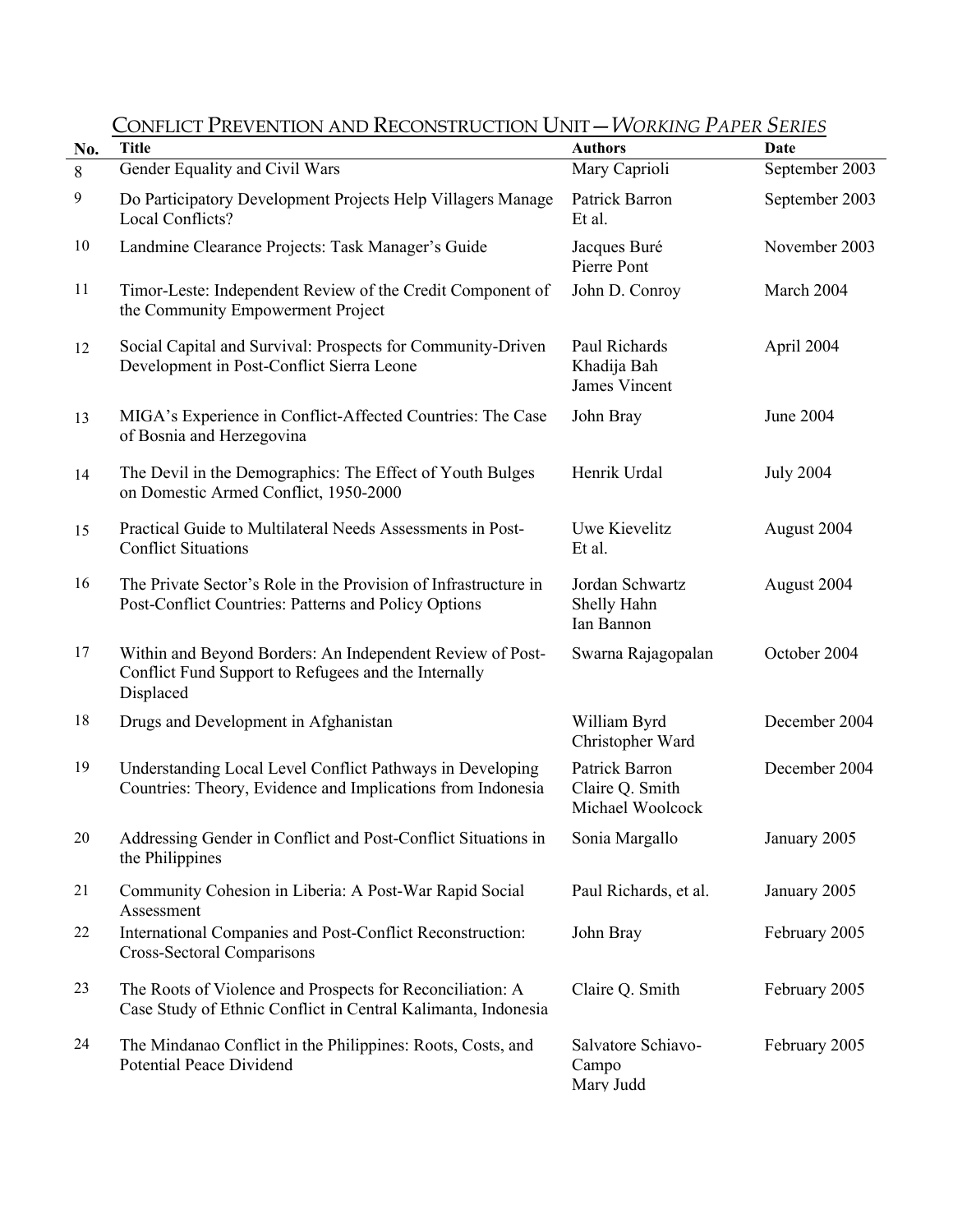| No.    | <b>Title</b>                                                                                                                   | <b>Authors</b>                                        | $    -$<br>Date  |
|--------|--------------------------------------------------------------------------------------------------------------------------------|-------------------------------------------------------|------------------|
| 8      | Gender Equality and Civil Wars                                                                                                 | Mary Caprioli                                         | September 2003   |
| 9      | Do Participatory Development Projects Help Villagers Manage<br>Local Conflicts?                                                | Patrick Barron<br>Et al.                              | September 2003   |
| $10\,$ | Landmine Clearance Projects: Task Manager's Guide                                                                              | Jacques Buré<br>Pierre Pont                           | November 2003    |
| 11     | Timor-Leste: Independent Review of the Credit Component of<br>the Community Empowerment Project                                | John D. Conroy                                        | March 2004       |
| 12     | Social Capital and Survival: Prospects for Community-Driven<br>Development in Post-Conflict Sierra Leone                       | Paul Richards<br>Khadija Bah<br><b>James Vincent</b>  | April 2004       |
| 13     | MIGA's Experience in Conflict-Affected Countries: The Case<br>of Bosnia and Herzegovina                                        | John Bray                                             | June 2004        |
| 14     | The Devil in the Demographics: The Effect of Youth Bulges<br>on Domestic Armed Conflict, 1950-2000                             | Henrik Urdal                                          | <b>July 2004</b> |
| 15     | Practical Guide to Multilateral Needs Assessments in Post-<br><b>Conflict Situations</b>                                       | Uwe Kievelitz<br>Et al.                               | August 2004      |
| 16     | The Private Sector's Role in the Provision of Infrastructure in<br>Post-Conflict Countries: Patterns and Policy Options        | Jordan Schwartz<br>Shelly Hahn<br>Ian Bannon          | August 2004      |
| 17     | Within and Beyond Borders: An Independent Review of Post-<br>Conflict Fund Support to Refugees and the Internally<br>Displaced | Swarna Rajagopalan                                    | October 2004     |
| 18     | Drugs and Development in Afghanistan                                                                                           | William Byrd<br>Christopher Ward                      | December 2004    |
| 19     | Understanding Local Level Conflict Pathways in Developing<br>Countries: Theory, Evidence and Implications from Indonesia       | Patrick Barron<br>Claire Q. Smith<br>Michael Woolcock | December 2004    |
| 20     | Addressing Gender in Conflict and Post-Conflict Situations in<br>the Philippines                                               | Sonia Margallo                                        | January 2005     |
| 21     | Community Cohesion in Liberia: A Post-War Rapid Social<br>Assessment                                                           | Paul Richards, et al.                                 | January 2005     |
| 22     | International Companies and Post-Conflict Reconstruction:<br><b>Cross-Sectoral Comparisons</b>                                 | John Bray                                             | February 2005    |
| 23     | The Roots of Violence and Prospects for Reconciliation: A<br>Case Study of Ethnic Conflict in Central Kalimanta, Indonesia     | Claire Q. Smith                                       | February 2005    |
| 24     | The Mindanao Conflict in the Philippines: Roots, Costs, and<br><b>Potential Peace Dividend</b>                                 | Salvatore Schiavo-<br>Campo<br>Mary Judd              | February 2005    |

### CONFLICT PREVENTION AND RECONSTRUCTION UNIT—*WORKING PAPER SERIES*